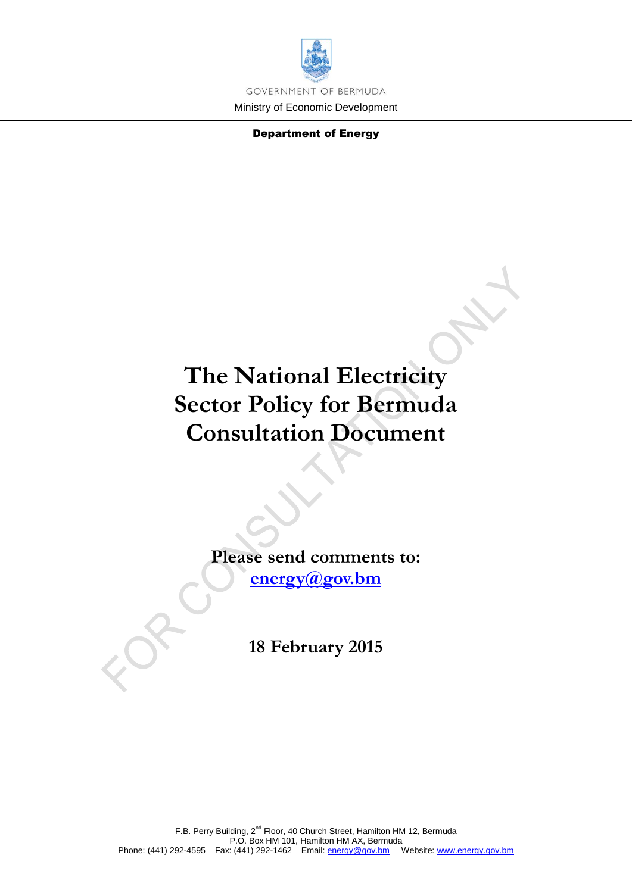

Department of Energy

# **The National Electricity Sector Policy for Bermuda Consultation Document**

**Please send comments to: [energy@gov.bm](mailto:energy@gov.bm)**

**18 February 2015**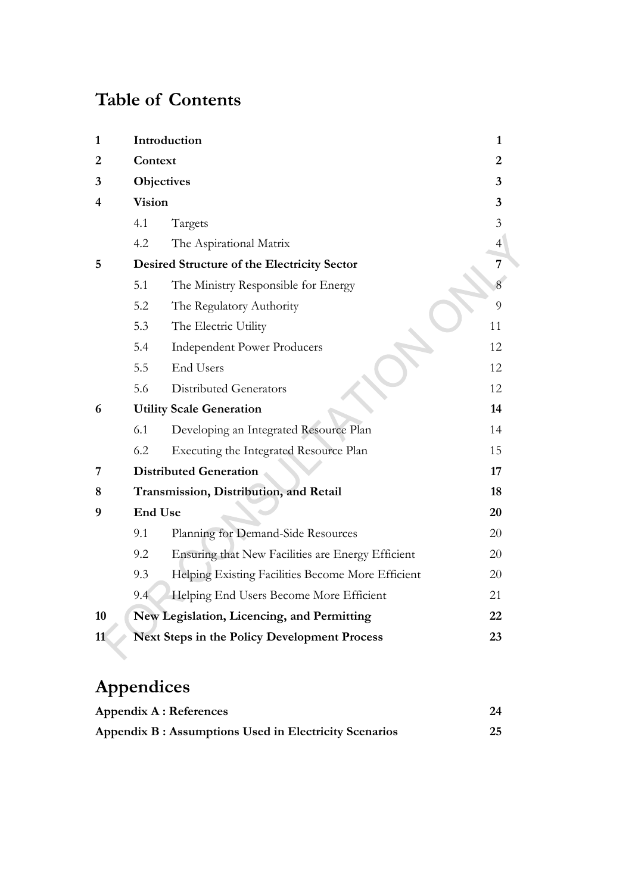# **Table of Contents**

| $\mathbf{1}$   | Introduction                                              |                                                    |    |  |  |
|----------------|-----------------------------------------------------------|----------------------------------------------------|----|--|--|
| $\overline{2}$ | Context                                                   |                                                    |    |  |  |
| 3              | Objectives                                                |                                                    |    |  |  |
| 4              | <b>Vision</b>                                             |                                                    |    |  |  |
|                | 4.1                                                       | Targets                                            | 3  |  |  |
|                | 4.2                                                       | The Aspirational Matrix                            | 4  |  |  |
| 5              |                                                           | <b>Desired Structure of the Electricity Sector</b> | 7  |  |  |
|                | 5.1                                                       | The Ministry Responsible for Energy                |    |  |  |
|                | 5.2                                                       | The Regulatory Authority                           | 9  |  |  |
|                | 5.3                                                       | The Electric Utility                               | 11 |  |  |
|                | 5.4                                                       | <b>Independent Power Producers</b>                 | 12 |  |  |
|                | 5.5                                                       | End Users                                          | 12 |  |  |
|                | 5.6                                                       | <b>Distributed Generators</b>                      | 12 |  |  |
| 6              |                                                           | <b>Utility Scale Generation</b>                    | 14 |  |  |
|                | 6.1                                                       | Developing an Integrated Resource Plan             | 14 |  |  |
|                | 6.2                                                       | Executing the Integrated Resource Plan             | 15 |  |  |
| 7              |                                                           | <b>Distributed Generation</b>                      | 17 |  |  |
| 8              |                                                           | Transmission, Distribution, and Retail             | 18 |  |  |
| 9              | <b>End Use</b>                                            |                                                    | 20 |  |  |
|                | 9.1                                                       | Planning for Demand-Side Resources                 | 20 |  |  |
|                | 9.2                                                       | Ensuring that New Facilities are Energy Efficient  | 20 |  |  |
|                | 9.3                                                       | Helping Existing Facilities Become More Efficient  | 20 |  |  |
|                | 9.4                                                       | Helping End Users Become More Efficient            | 21 |  |  |
| 10             |                                                           | New Legislation, Licencing, and Permitting         | 22 |  |  |
| 11             | <b>Next Steps in the Policy Development Process</b><br>23 |                                                    |    |  |  |

# **Appendices**

| <b>Appendix A : References</b>                         | 24 |
|--------------------------------------------------------|----|
| Appendix B : Assumptions Used in Electricity Scenarios | 25 |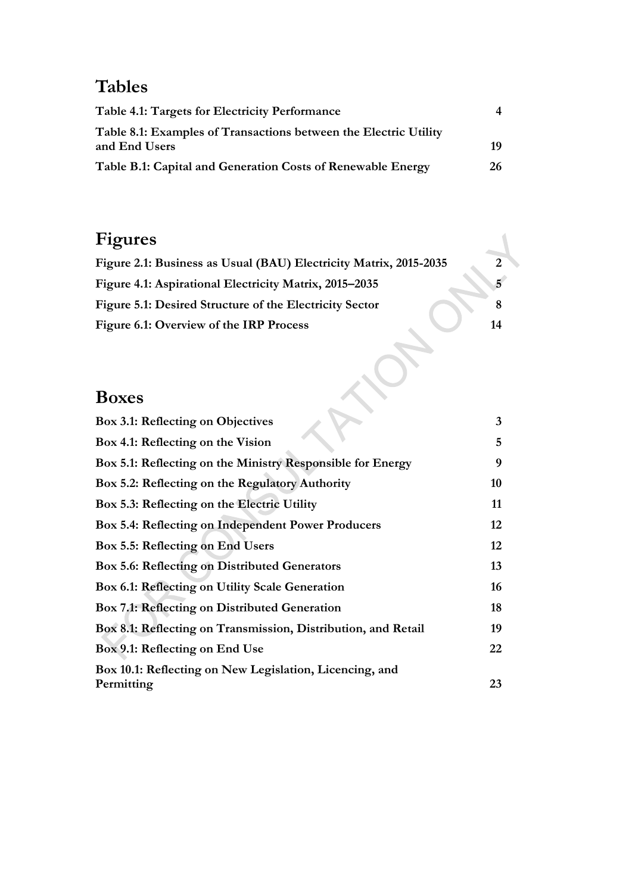# **Tables**

| Table 4.1: Targets for Electricity Performance                                    |    |
|-----------------------------------------------------------------------------------|----|
| Table 8.1: Examples of Transactions between the Electric Utility<br>and End Users | 19 |
| Table B.1: Capital and Generation Costs of Renewable Energy                       | 26 |

# **Figures**

| Figure 2.1: Business as Usual (BAU) Electricity Matrix, 2015-2035 | 2  |
|-------------------------------------------------------------------|----|
| Figure 4.1: Aspirational Electricity Matrix, 2015–2035            | 5  |
| Figure 5.1: Desired Structure of the Electricity Sector           |    |
| Figure 6.1: Overview of the IRP Process                           | 14 |
|                                                                   |    |

# **Boxes**

| Box 3.1: Reflecting on Objectives                             | 3  |
|---------------------------------------------------------------|----|
| Box 4.1: Reflecting on the Vision                             | 5  |
| Box 5.1: Reflecting on the Ministry Responsible for Energy    | 9  |
| Box 5.2: Reflecting on the Regulatory Authority               | 10 |
| Box 5.3: Reflecting on the Electric Utility                   | 11 |
| Box 5.4: Reflecting on Independent Power Producers            | 12 |
| Box 5.5: Reflecting on End Users                              | 12 |
| <b>Box 5.6: Reflecting on Distributed Generators</b>          | 13 |
| Box 6.1: Reflecting on Utility Scale Generation               | 16 |
| <b>Box 7.1: Reflecting on Distributed Generation</b>          | 18 |
| Box 8.1: Reflecting on Transmission, Distribution, and Retail | 19 |
| Box 9.1: Reflecting on End Use                                | 22 |
| Box 10.1: Reflecting on New Legislation, Licencing, and       |    |
| Permitting                                                    | 23 |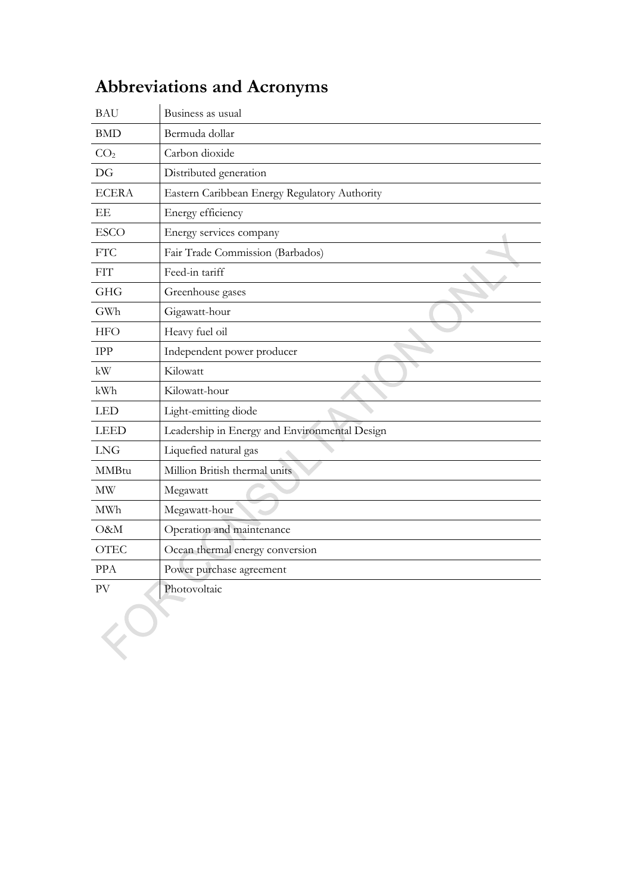| <b>BAU</b>      | Business as usual                             |  |
|-----------------|-----------------------------------------------|--|
| <b>BMD</b>      | Bermuda dollar                                |  |
| CO <sub>2</sub> | Carbon dioxide                                |  |
| DG              | Distributed generation                        |  |
| <b>ECERA</b>    | Eastern Caribbean Energy Regulatory Authority |  |
| EΕ              | Energy efficiency                             |  |
| <b>ESCO</b>     | Energy services company                       |  |
| <b>FTC</b>      | Fair Trade Commission (Barbados)              |  |
| <b>FIT</b>      | Feed-in tariff                                |  |
| <b>GHG</b>      | Greenhouse gases                              |  |
| GWh             | Gigawatt-hour                                 |  |
| <b>HFO</b>      | Heavy fuel oil                                |  |
| <b>IPP</b>      | Independent power producer                    |  |
| kW              | Kilowatt                                      |  |
| kWh             | Kilowatt-hour                                 |  |
| <b>LED</b>      | Light-emitting diode                          |  |
| <b>LEED</b>     | Leadership in Energy and Environmental Design |  |
| <b>LNG</b>      | Liquefied natural gas                         |  |
| <b>MMBtu</b>    | Million British thermal units                 |  |
| <b>MW</b>       | Megawatt                                      |  |
| <b>MWh</b>      | Megawatt-hour                                 |  |
| O&M             | Operation and maintenance                     |  |
| <b>OTEC</b>     | Ocean thermal energy conversion               |  |
| <b>PPA</b>      | Power purchase agreement                      |  |
| PV              | Photovoltaic                                  |  |
|                 |                                               |  |

# **Abbreviations and Acronyms**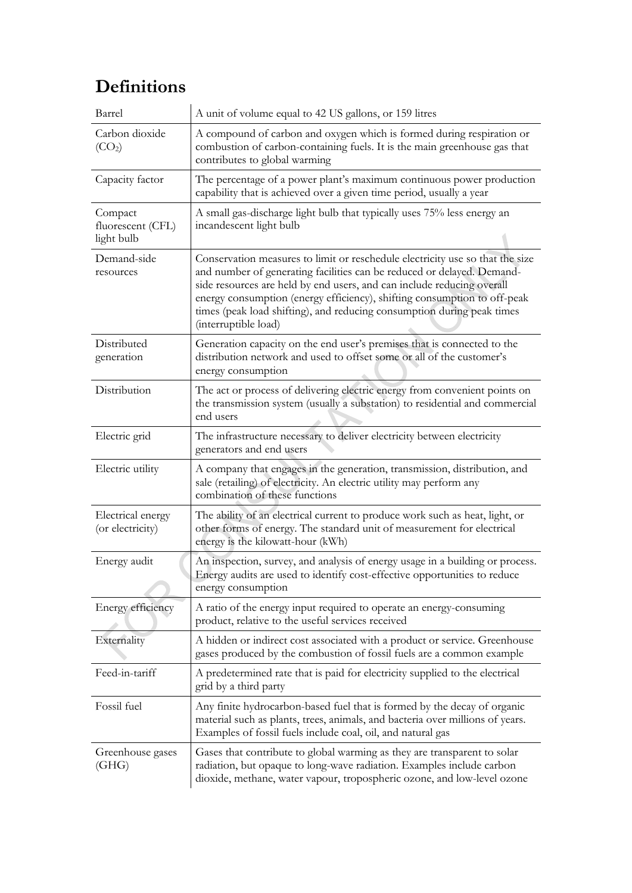## **Definitions**

| Barrel                                     | A unit of volume equal to 42 US gallons, or 159 litres                                                                                                                                                                                                                                                                                                                                                          |
|--------------------------------------------|-----------------------------------------------------------------------------------------------------------------------------------------------------------------------------------------------------------------------------------------------------------------------------------------------------------------------------------------------------------------------------------------------------------------|
| Carbon dioxide<br>(CO <sub>2</sub> )       | A compound of carbon and oxygen which is formed during respiration or<br>combustion of carbon-containing fuels. It is the main greenhouse gas that<br>contributes to global warming                                                                                                                                                                                                                             |
| Capacity factor                            | The percentage of a power plant's maximum continuous power production<br>capability that is achieved over a given time period, usually a year                                                                                                                                                                                                                                                                   |
| Compact<br>fluorescent (CFL)<br>light bulb | A small gas-discharge light bulb that typically uses 75% less energy an<br>incandescent light bulb                                                                                                                                                                                                                                                                                                              |
| Demand-side<br>resources                   | Conservation measures to limit or reschedule electricity use so that the size<br>and number of generating facilities can be reduced or delayed. Demand-<br>side resources are held by end users, and can include reducing overall<br>energy consumption (energy efficiency), shifting consumption to off-peak<br>times (peak load shifting), and reducing consumption during peak times<br>(interruptible load) |
| Distributed<br>generation                  | Generation capacity on the end user's premises that is connected to the<br>distribution network and used to offset some or all of the customer's<br>energy consumption                                                                                                                                                                                                                                          |
| Distribution                               | The act or process of delivering electric energy from convenient points on<br>the transmission system (usually a substation) to residential and commercial<br>end users                                                                                                                                                                                                                                         |
| Electric grid                              | The infrastructure necessary to deliver electricity between electricity<br>generators and end users                                                                                                                                                                                                                                                                                                             |
| Electric utility                           | A company that engages in the generation, transmission, distribution, and<br>sale (retailing) of electricity. An electric utility may perform any<br>combination of these functions                                                                                                                                                                                                                             |
| Electrical energy<br>(or electricity)      | The ability of an electrical current to produce work such as heat, light, or<br>other forms of energy. The standard unit of measurement for electrical<br>energy is the kilowatt-hour (kWh)                                                                                                                                                                                                                     |
| Energy audit                               | An inspection, survey, and analysis of energy usage in a building or process.<br>Energy audits are used to identify cost-effective opportunities to reduce<br>energy consumption                                                                                                                                                                                                                                |
| Energy efficiency                          | A ratio of the energy input required to operate an energy-consuming<br>product, relative to the useful services received                                                                                                                                                                                                                                                                                        |
| Externality                                | A hidden or indirect cost associated with a product or service. Greenhouse<br>gases produced by the combustion of fossil fuels are a common example                                                                                                                                                                                                                                                             |
| Feed-in-tariff                             | A predetermined rate that is paid for electricity supplied to the electrical<br>grid by a third party                                                                                                                                                                                                                                                                                                           |
| Fossil fuel                                | Any finite hydrocarbon-based fuel that is formed by the decay of organic<br>material such as plants, trees, animals, and bacteria over millions of years.<br>Examples of fossil fuels include coal, oil, and natural gas                                                                                                                                                                                        |
| Greenhouse gases<br>(GHG)                  | Gases that contribute to global warming as they are transparent to solar<br>radiation, but opaque to long-wave radiation. Examples include carbon<br>dioxide, methane, water vapour, tropospheric ozone, and low-level ozone                                                                                                                                                                                    |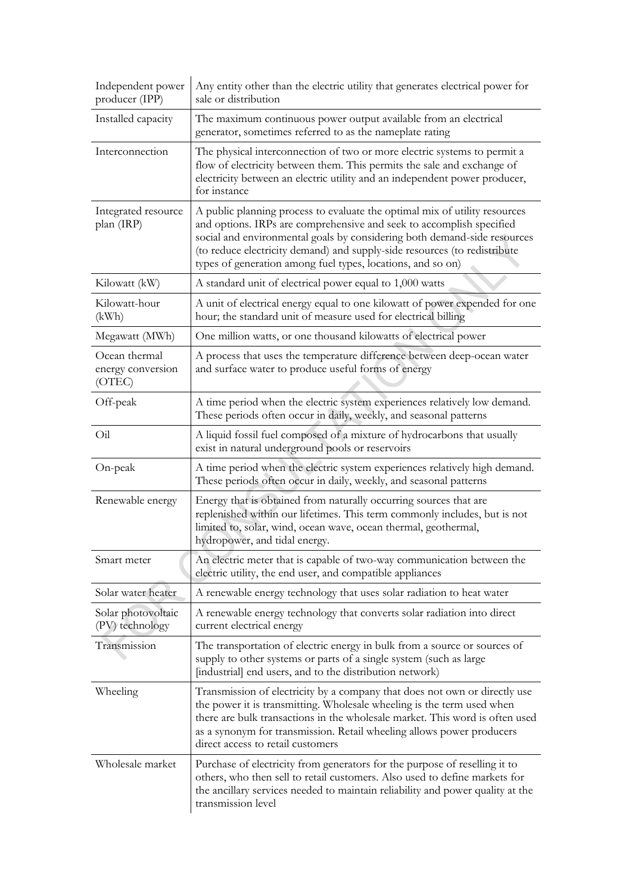| Independent power<br>producer (IPP)          | Any entity other than the electric utility that generates electrical power for<br>sale or distribution                                                                                                                                                                                                                                                                     |
|----------------------------------------------|----------------------------------------------------------------------------------------------------------------------------------------------------------------------------------------------------------------------------------------------------------------------------------------------------------------------------------------------------------------------------|
| Installed capacity                           | The maximum continuous power output available from an electrical<br>generator, sometimes referred to as the nameplate rating                                                                                                                                                                                                                                               |
| Interconnection                              | The physical interconnection of two or more electric systems to permit a<br>flow of electricity between them. This permits the sale and exchange of<br>electricity between an electric utility and an independent power producer,<br>for instance                                                                                                                          |
| Integrated resource<br>plan (IRP)            | A public planning process to evaluate the optimal mix of utility resources<br>and options. IRPs are comprehensive and seek to accomplish specified<br>social and environmental goals by considering both demand-side resources<br>(to reduce electricity demand) and supply-side resources (to redistribute<br>types of generation among fuel types, locations, and so on) |
| Kilowatt (kW)                                | A standard unit of electrical power equal to 1,000 watts                                                                                                                                                                                                                                                                                                                   |
| Kilowatt-hour<br>(kWh)                       | A unit of electrical energy equal to one kilowatt of power expended for one<br>hour; the standard unit of measure used for electrical billing                                                                                                                                                                                                                              |
| Megawatt (MWh)                               | One million watts, or one thousand kilowatts of electrical power                                                                                                                                                                                                                                                                                                           |
| Ocean thermal<br>energy conversion<br>(OTEC) | A process that uses the temperature difference between deep-ocean water<br>and surface water to produce useful forms of energy                                                                                                                                                                                                                                             |
| Off-peak                                     | A time period when the electric system experiences relatively low demand.<br>These periods often occur in daily, weekly, and seasonal patterns                                                                                                                                                                                                                             |
| $O_{1}$                                      | A liquid fossil fuel composed of a mixture of hydrocarbons that usually<br>exist in natural underground pools or reservoirs                                                                                                                                                                                                                                                |
| On-peak                                      | A time period when the electric system experiences relatively high demand.<br>These periods often occur in daily, weekly, and seasonal patterns                                                                                                                                                                                                                            |
| Renewable energy                             | Energy that is obtained from naturally occurring sources that are<br>replenished within our lifetimes. This term commonly includes, but is not<br>limited to, solar, wind, ocean wave, ocean thermal, geothermal,<br>hydropower, and tidal energy.                                                                                                                         |
| Smart meter                                  | An electric meter that is capable of two-way communication between the<br>electric utility, the end user, and compatible appliances                                                                                                                                                                                                                                        |
| Solar water heater                           | A renewable energy technology that uses solar radiation to heat water                                                                                                                                                                                                                                                                                                      |
| Solar photovoltaic<br>(PV) technology        | A renewable energy technology that converts solar radiation into direct<br>current electrical energy                                                                                                                                                                                                                                                                       |
| Transmission                                 | The transportation of electric energy in bulk from a source or sources of<br>supply to other systems or parts of a single system (such as large<br>[industrial] end users, and to the distribution network]                                                                                                                                                                |
| Wheeling                                     | Transmission of electricity by a company that does not own or directly use<br>the power it is transmitting. Wholesale wheeling is the term used when<br>there are bulk transactions in the wholesale market. This word is often used<br>as a synonym for transmission. Retail wheeling allows power producers<br>direct access to retail customers                         |
| Wholesale market                             | Purchase of electricity from generators for the purpose of reselling it to<br>others, who then sell to retail customers. Also used to define markets for<br>the ancillary services needed to maintain reliability and power quality at the<br>transmission level                                                                                                           |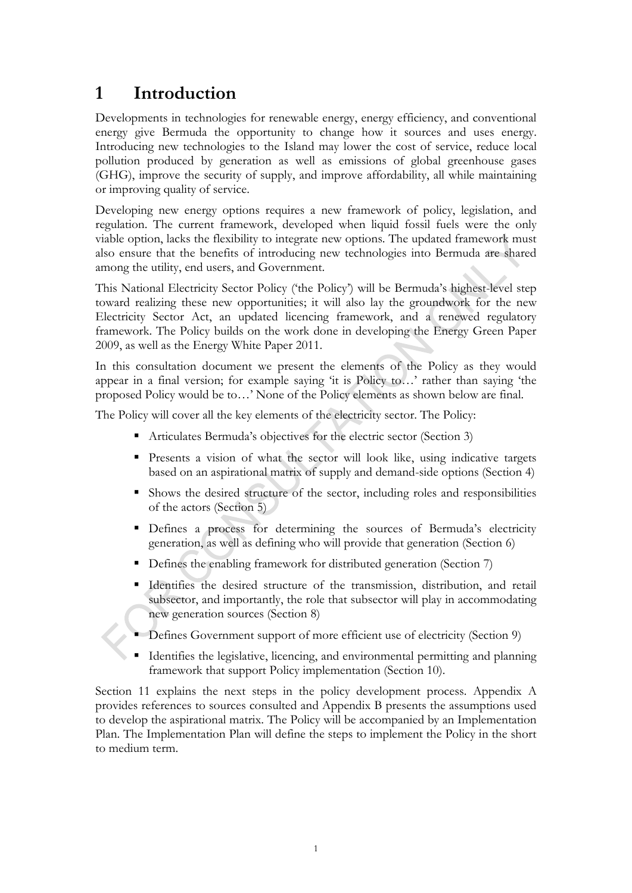## <span id="page-6-0"></span>**1 Introduction**

Developments in technologies for renewable energy, energy efficiency, and conventional energy give Bermuda the opportunity to change how it sources and uses energy. Introducing new technologies to the Island may lower the cost of service, reduce local pollution produced by generation as well as emissions of global greenhouse gases (GHG), improve the security of supply, and improve affordability, all while maintaining or improving quality of service.

Developing new energy options requires a new framework of policy, legislation, and regulation. The current framework, developed when liquid fossil fuels were the only viable option, lacks the flexibility to integrate new options. The updated framework must also ensure that the benefits of introducing new technologies into Bermuda are shared among the utility, end users, and Government.

This National Electricity Sector Policy ('the Policy') will be Bermuda's highest-level step toward realizing these new opportunities; it will also lay the groundwork for the new Electricity Sector Act, an updated licencing framework, and a renewed regulatory framework. The Policy builds on the work done in developing the Energy Green Paper 2009, as well as the Energy White Paper 2011.

In this consultation document we present the elements of the Policy as they would appear in a final version; for example saying 'it is Policy to…' rather than saying 'the proposed Policy would be to…' None of the Policy elements as shown below are final.

The Policy will cover all the key elements of the electricity sector. The Policy:

- Articulates Bermuda's objectives for the electric sector (Section [3\)](#page-8-0)
- Presents a vision of what the sector will look like, using indicative targets based on an aspirational matrix of supply and demand-side options (Section [4\)](#page-8-1)
- Shows the desired structure of the sector, including roles and responsibilities of the actors (Section [5\)](#page-12-0)
- Defines a process for determining the sources of Bermuda's electricity generation, as well as defining who will provide that generation (Section [6\)](#page-19-0)
- Defines the enabling framework for distributed generation (Section [7\)](#page-22-0)
- Identifies the desired structure of the transmission, distribution, and retail subsector, and importantly, the role that subsector will play in accommodating new generation sources (Section [8\)](#page-23-0)
- Defines Government support of more efficient use of electricity (Section [9\)](#page-25-0)
- Identifies the legislative, licencing, and environmental permitting and planning framework that support Policy implementation (Section [10\)](#page-27-0).

Section [11](#page-28-0) explains the next steps in the policy development process. [Appendix A](#page-29-0) provides references to sources consulted and [Appendix B](#page-30-0) presents the assumptions used to develop the aspirational matrix. The Policy will be accompanied by an Implementation Plan. The Implementation Plan will define the steps to implement the Policy in the short to medium term.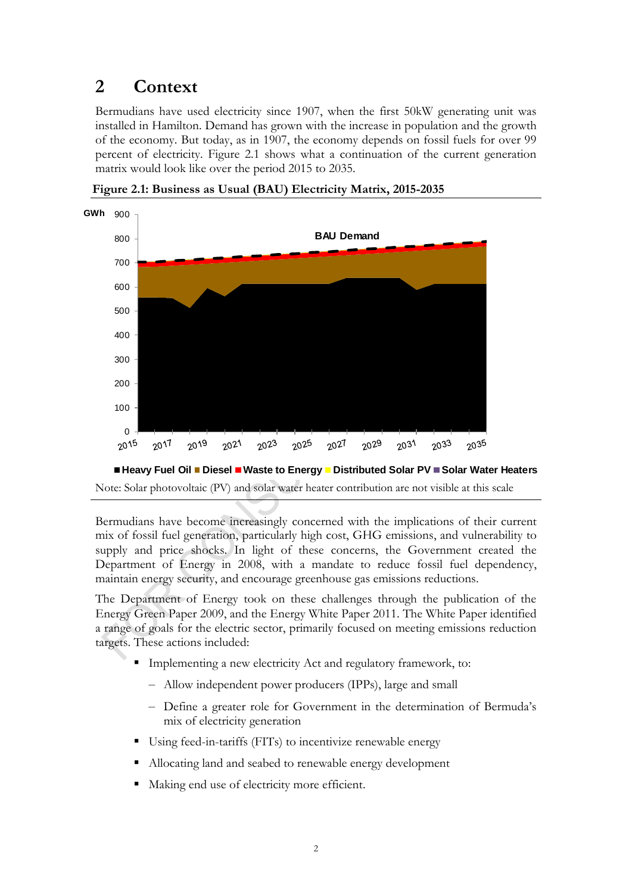## <span id="page-7-0"></span>**2 Context**

Bermudians have used electricity since 1907, when the first 50kW generating unit was installed in Hamilton. Demand has grown with the increase in population and the growth of the economy. But today, as in 1907, the economy depends on fossil fuels for over 99 percent of electricity. [Figure 2.1](#page-7-1) shows what a continuation of the current generation matrix would look like over the period 2015 to 2035.



<span id="page-7-1"></span>**Figure 2.1: Business as Usual (BAU) Electricity Matrix, 2015-2035**

Note: Solar photovoltaic (PV) and solar water heater contribution are not visible at this scale ■ Heavy Fuel Oil ■ Diesel ■ Waste to Energy ■ Distributed Solar PV ■ Solar Water Heaters

Bermudians have become increasingly concerned with the implications of their current mix of fossil fuel generation, particularly high cost, GHG emissions, and vulnerability to supply and price shocks. In light of these concerns, the Government created the Department of Energy in 2008, with a mandate to reduce fossil fuel dependency, maintain energy security, and encourage greenhouse gas emissions reductions.

The Department of Energy took on these challenges through the publication of the Energy Green Paper 2009, and the Energy White Paper 2011. The White Paper identified a range of goals for the electric sector, primarily focused on meeting emissions reduction targets. These actions included:

- Implementing a new electricity Act and regulatory framework, to:
	- Allow independent power producers (IPPs), large and small
	- Define a greater role for Government in the determination of Bermuda's mix of electricity generation
- Using feed-in-tariffs (FITs) to incentivize renewable energy
- Allocating land and seabed to renewable energy development
- Making end use of electricity more efficient.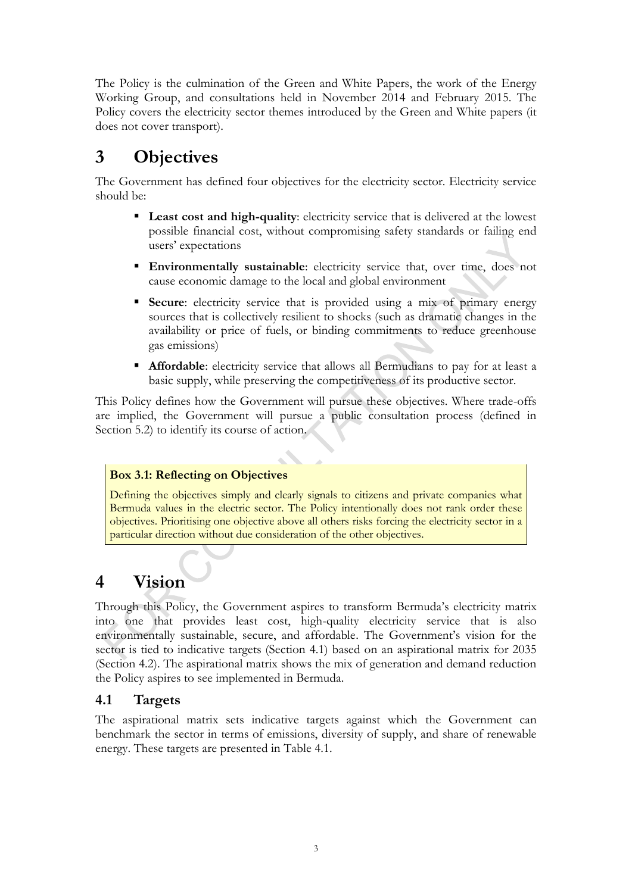The Policy is the culmination of the Green and White Papers, the work of the Energy Working Group, and consultations held in November 2014 and February 2015. The Policy covers the electricity sector themes introduced by the Green and White papers (it does not cover transport).

## <span id="page-8-0"></span>**3 Objectives**

The Government has defined four objectives for the electricity sector. Electricity service should be:

- **Least cost and high-quality**: electricity service that is delivered at the lowest possible financial cost, without compromising safety standards or failing end users' expectations
- **Environmentally sustainable**: electricity service that, over time, does not cause economic damage to the local and global environment
- **Secure:** electricity service that is provided using a mix of primary energy sources that is collectively resilient to shocks (such as dramatic changes in the availability or price of fuels, or binding commitments to reduce greenhouse gas emissions)
- **Affordable:** electricity service that allows all Bermudians to pay for at least a basic supply, while preserving the competitiveness of its productive sector.

This Policy defines how the Government will pursue these objectives. Where trade-offs are implied, the Government will pursue a public consultation process (defined in Section [5.2\)](#page-14-0) to identify its course of action.

### <span id="page-8-3"></span>**Box 3.1: Reflecting on Objectives**

Defining the objectives simply and clearly signals to citizens and private companies what Bermuda values in the electric sector. The Policy intentionally does not rank order these objectives. Prioritising one objective above all others risks forcing the electricity sector in a particular direction without due consideration of the other objectives.

# <span id="page-8-1"></span>**4 Vision**

Through this Policy, the Government aspires to transform Bermuda's electricity matrix into one that provides least cost, high-quality electricity service that is also environmentally sustainable, secure, and affordable. The Government's vision for the sector is tied to indicative targets (Section [4.1\)](#page-8-2) based on an aspirational matrix for 2035 (Section [4.2\)](#page-9-0). The aspirational matrix shows the mix of generation and demand reduction the Policy aspires to see implemented in Bermuda.

### <span id="page-8-2"></span>**4.1 Targets**

The aspirational matrix sets indicative targets against which the Government can benchmark the sector in terms of emissions, diversity of supply, and share of renewable energy. These targets are presented in [Table 4.1.](#page-9-1)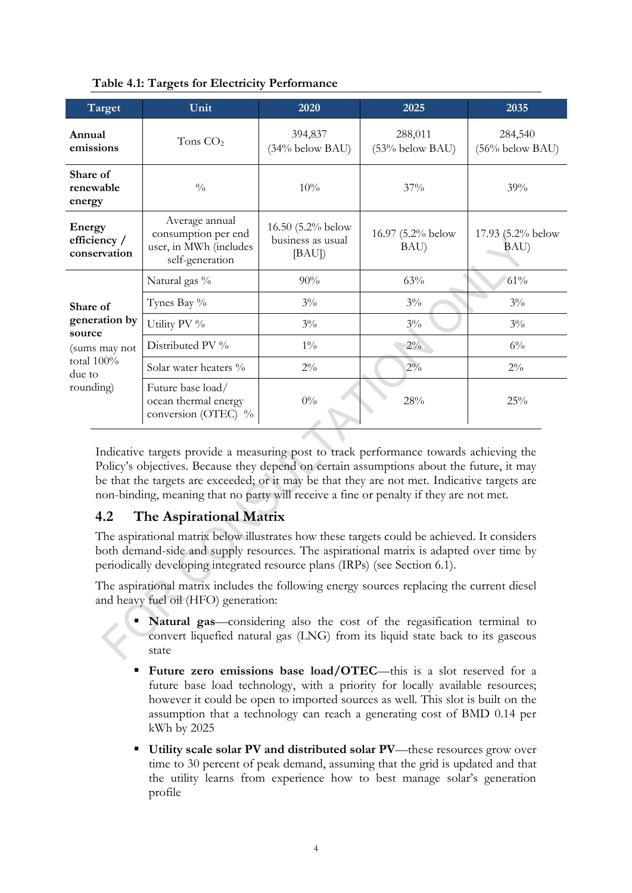| Target                                 | Unit                                                                               | 2020                                            | 2025                         | 2035                          |
|----------------------------------------|------------------------------------------------------------------------------------|-------------------------------------------------|------------------------------|-------------------------------|
| Annual<br>emissions                    | Tons $CO2$                                                                         | 394,837<br>(34% below BAU)                      | 288,011<br>$(53%$ below BAU) | 284,540<br>$(56\%$ below BAU) |
| Share of<br>renewable<br>energy        | $\frac{0}{0}$                                                                      | 10%                                             | 37%                          | 39%                           |
| Energy<br>efficiency /<br>conservation | Average annual<br>consumption per end<br>user, in MWh (includes<br>self-generation | 16.50 (5.2% below<br>business as usual<br>[BAU] | 16.97 (5.2% below<br>BAU)    | 17.93 (5.2% below<br>BAU)     |
|                                        | Natural gas %                                                                      | 90%                                             | 63%                          | 61%                           |
| Share of                               | Tynes Bay %                                                                        | $3\%$                                           | $3\%$                        | $3\%$                         |
| generation by<br>source                | Utility PV %                                                                       | $3\%$                                           | $3\%$                        | $3\%$                         |
| (sums may not                          | Distributed PV %                                                                   | $1\%$                                           | $2\%$                        | $6\%$                         |
| total 100%<br>due to                   | Solar water heaters %                                                              | $2\%$                                           | $2\%$                        | $2\%$                         |
| rounding)                              | Future base load/<br>ocean thermal energy<br>conversion (OTEC) %                   | $0\%$                                           | 28%                          | 25%                           |

### <span id="page-9-1"></span>**Table 4.1: Targets for Electricity Performance**

Indicative targets provide a measuring post to track performance towards achieving the Policy's objectives. Because they depend on certain assumptions about the future, it may be that the targets are exceeded; or it may be that they are not met. Indicative targets are non-binding, meaning that no party will receive a fine or penalty if they are not met.

### <span id="page-9-0"></span>**4.2 The Aspirational Matrix**

The aspirational matrix below illustrates how these targets could be achieved. It considers both demand-side and supply resources. The aspirational matrix is adapted over time by periodically developing integrated resource plans (IRPs) (see Section [6.1\)](#page-19-1).

The aspirational matrix includes the following energy sources replacing the current diesel and heavy fuel oil (HFO) generation:

- **Natural gas**—considering also the cost of the regasification terminal to convert liquefied natural gas (LNG) from its liquid state back to its gaseous state
- Future zero emissions base  $load/OTEC$ —this is a slot reserved for a future base load technology, with a priority for locally available resources; however it could be open to imported sources as well. This slot is built on the assumption that a technology can reach a generating cost of BMD 0.14 per kWh by 2025
- **Utility scale solar PV and distributed solar PV**—these resources grow over time to 30 percent of peak demand, assuming that the grid is updated and that the utility learns from experience how to best manage solar's generation profile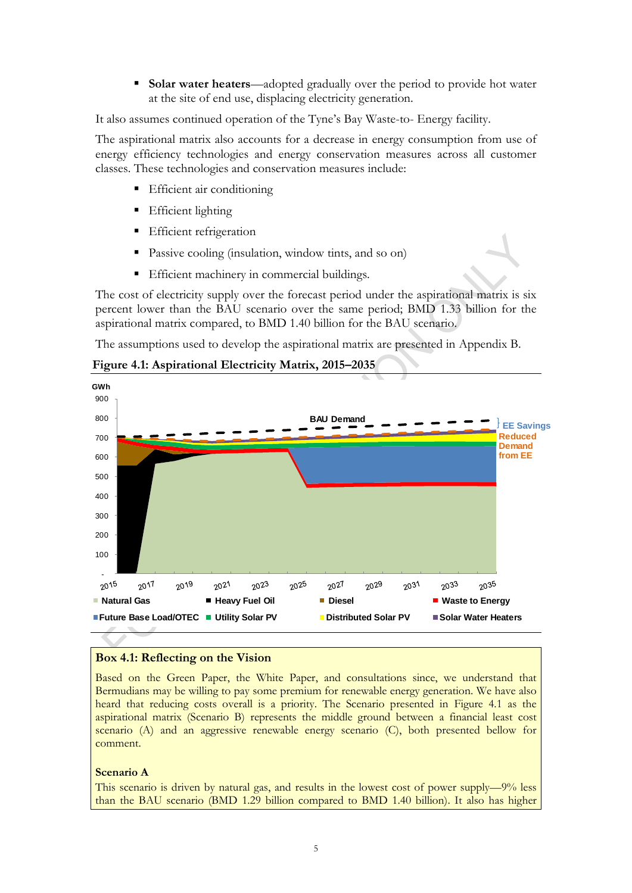**Solar water heaters**—adopted gradually over the period to provide hot water at the site of end use, displacing electricity generation.

It also assumes continued operation of the Tyne's Bay Waste-to- Energy facility.

The aspirational matrix also accounts for a decrease in energy consumption from use of energy efficiency technologies and energy conservation measures across all customer classes. These technologies and conservation measures include:

- **Efficient air conditioning**
- Efficient lighting
- Efficient refrigeration
- Passive cooling (insulation, window tints, and so on)
- **Efficient machinery in commercial buildings.**

The cost of electricity supply over the forecast period under the aspirational matrix is six percent lower than the BAU scenario over the same period; BMD 1.33 billion for the aspirational matrix compared, to BMD 1.40 billion for the BAU scenario.

The assumptions used to develop the aspirational matrix are presented in [Appendix B.](#page-30-0)

<span id="page-10-0"></span>**Figure 4.1: Aspirational Electricity Matrix, 2015–2035**



#### <span id="page-10-1"></span>**Box 4.1: Reflecting on the Vision**

Based on the Green Paper, the White Paper, and consultations since, we understand that Bermudians may be willing to pay some premium for renewable energy generation. We have also heard that reducing costs overall is a priority. The Scenario presented in [Figure 4.1](#page-10-0) as the aspirational matrix (Scenario B) represents the middle ground between a financial least cost scenario (A) and an aggressive renewable energy scenario (C), both presented bellow for comment.

#### **Scenario A**

This scenario is driven by natural gas, and results in the lowest cost of power supply—9% less than the BAU scenario (BMD 1.29 billion compared to BMD 1.40 billion). It also has higher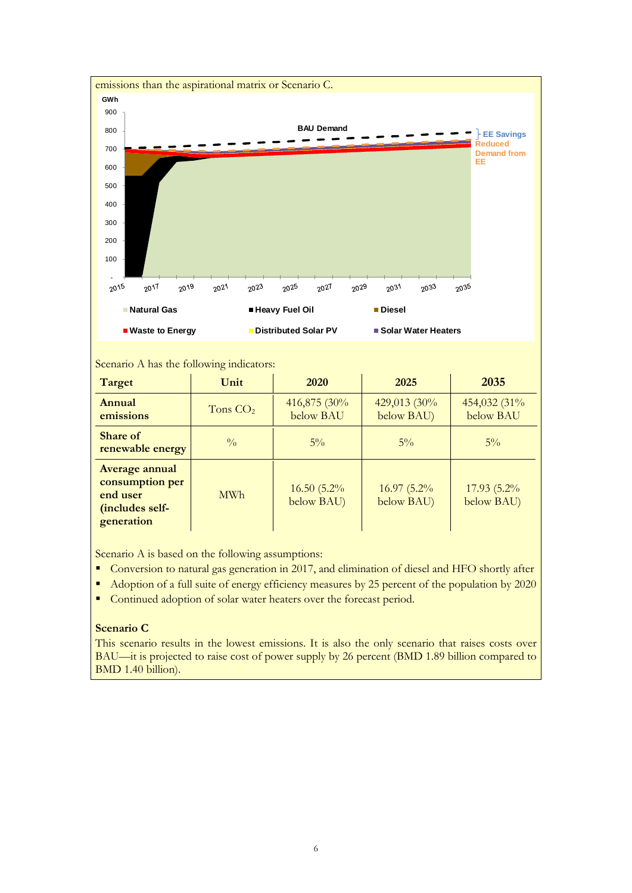

#### Scenario A has the following indicators:

| Target                                                                         | Unit          | 2020                        | 2025                       | 2035                       |
|--------------------------------------------------------------------------------|---------------|-----------------------------|----------------------------|----------------------------|
| Annual<br>emissions                                                            | Tons $CO2$    | 416,875 (30%<br>below BAU   | 429,013 (30%<br>below BAU) | 454,032 (31%<br>below BAU  |
| <b>Share of</b><br>renewable energy                                            | $\frac{0}{0}$ | $5\%$                       | $5\%$                      | $5\%$                      |
| Average annual<br>consumption per<br>end user<br>(includes self-<br>generation | <b>MWh</b>    | $16.50(5.2\%$<br>below BAU) | 16.97 (5.2%)<br>below BAU) | 17.93 (5.2%)<br>below BAU) |

Scenario A is based on the following assumptions:

- Conversion to natural gas generation in 2017, and elimination of diesel and HFO shortly after
- Adoption of a full suite of energy efficiency measures by 25 percent of the population by 2020
- Continued adoption of solar water heaters over the forecast period.

#### **Scenario C**

This scenario results in the lowest emissions. It is also the only scenario that raises costs over BAU—it is projected to raise cost of power supply by 26 percent (BMD 1.89 billion compared to BMD 1.40 billion).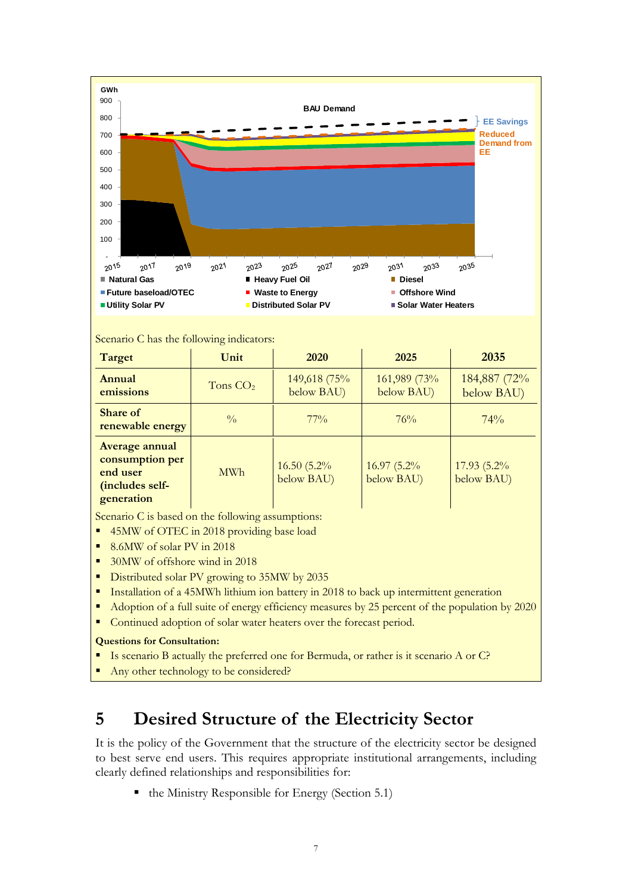

#### Scenario C has the following indicators:

| <b>Target</b>                                                                  | Unit          | 2020                        | 2025                        | 2035                       |
|--------------------------------------------------------------------------------|---------------|-----------------------------|-----------------------------|----------------------------|
| Annual<br>emissions                                                            | Tons $CO2$    | 149,618 (75%<br>below BAU)  | 161,989 (73%)<br>below BAU) | 184,887 (72%<br>below BAU) |
| <b>Share of</b><br>renewable energy                                            | $\frac{0}{0}$ | $77\%$                      | 76%                         | 74%                        |
| Average annual<br>consumption per<br>end user<br>(includes self-<br>generation | <b>MWh</b>    | $16.50(5.2\%$<br>below BAU) | 16.97 (5.2%)<br>below BAU)  | 17.93 (5.2%)<br>below BAU) |

Scenario C is based on the following assumptions:

- 45MW of OTEC in 2018 providing base load
- 8.6MW of solar PV in 2018
- 30MW of offshore wind in 2018
- Distributed solar PV growing to 35MW by 2035
- **Installation of a 45MWh lithium ion battery in 2018 to back up intermittent generation**
- Adoption of a full suite of energy efficiency measures by 25 percent of the population by 2020
- Continued adoption of solar water heaters over the forecast period.

#### **Questions for Consultation:**

Is scenario B actually the preferred one for Bermuda, or rather is it scenario A or C?

Any other technology to be considered?

## <span id="page-12-0"></span>**5 Desired Structure of the Electricity Sector**

It is the policy of the Government that the structure of the electricity sector be designed to best serve end users. This requires appropriate institutional arrangements, including clearly defined relationships and responsibilities for:

 $\blacksquare$  the Ministry Responsible for Energy (Section [5.1\)](#page-13-0)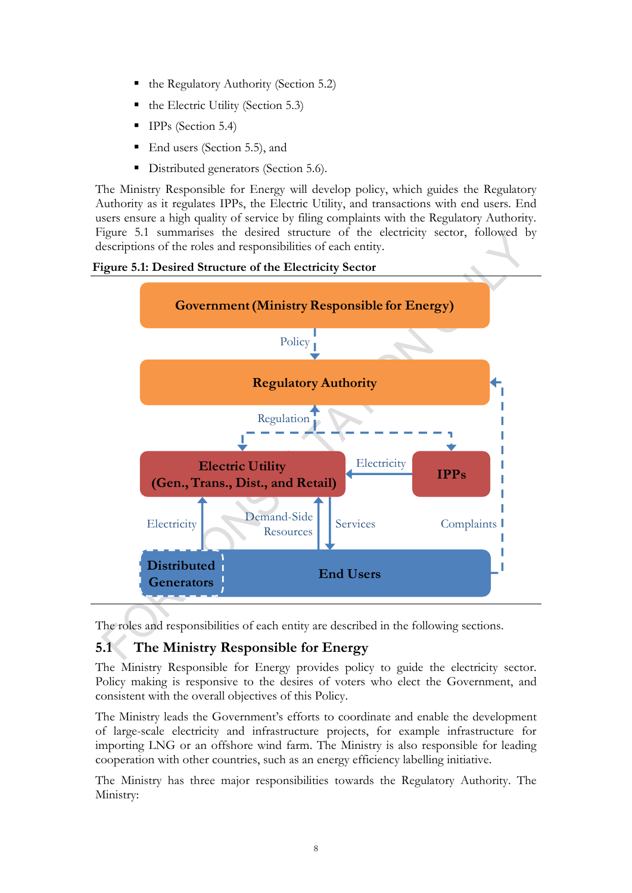- the Regulatory Authority (Section [5.2\)](#page-14-0)
- the Electric Utility (Section [5.3\)](#page-16-0)
- IPPs (Section [5.4\)](#page-17-0)
- End users (Section [5.5\)](#page-17-1), and
- Distributed generators (Section [5.6\)](#page-17-2).

The Ministry Responsible for Energy will develop policy, which guides the Regulatory Authority as it regulates IPPs, the Electric Utility, and transactions with end users. End users ensure a high quality of service by filing complaints with the Regulatory Authority. [Figure 5.1](#page-13-1) summarises the desired structure of the electricity sector, followed by descriptions of the roles and responsibilities of each entity.

<span id="page-13-1"></span>



The roles and responsibilities of each entity are described in the following sections.

### <span id="page-13-0"></span>**5.1 The Ministry Responsible for Energy**

The Ministry Responsible for Energy provides policy to guide the electricity sector. Policy making is responsive to the desires of voters who elect the Government, and consistent with the overall objectives of this Policy.

The Ministry leads the Government's efforts to coordinate and enable the development of large-scale electricity and infrastructure projects, for example infrastructure for importing LNG or an offshore wind farm. The Ministry is also responsible for leading cooperation with other countries, such as an energy efficiency labelling initiative.

The Ministry has three major responsibilities towards the Regulatory Authority. The Ministry: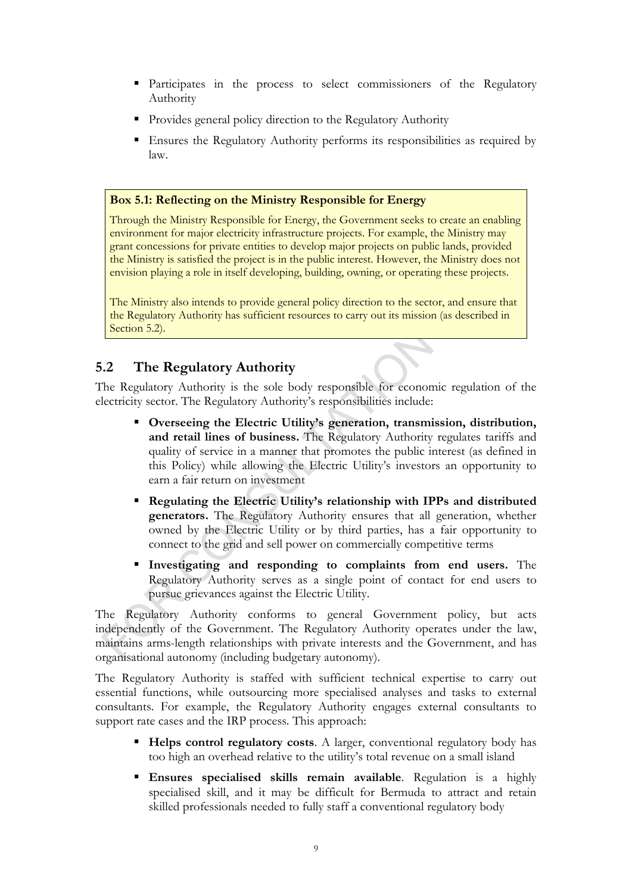- Participates in the process to select commissioners of the Regulatory Authority
- **Provides general policy direction to the Regulatory Authority**
- Ensures the Regulatory Authority performs its responsibilities as required by law.

#### <span id="page-14-1"></span>**Box 5.1: Reflecting on the Ministry Responsible for Energy**

Through the Ministry Responsible for Energy, the Government seeks to create an enabling environment for major electricity infrastructure projects. For example, the Ministry may grant concessions for private entities to develop major projects on public lands, provided the Ministry is satisfied the project is in the public interest. However, the Ministry does not envision playing a role in itself developing, building, owning, or operating these projects.

The Ministry also intends to provide general policy direction to the sector, and ensure that the Regulatory Authority has sufficient resources to carry out its mission (as described in Section [5.2\)](#page-14-0).

### <span id="page-14-0"></span>**5.2 The Regulatory Authority**

The Regulatory Authority is the sole body responsible for economic regulation of the electricity sector. The Regulatory Authority's responsibilities include:

- **Overseeing the Electric Utility's generation, transmission, distribution, and retail lines of business.** The Regulatory Authority regulates tariffs and quality of service in a manner that promotes the public interest (as defined in this Policy) while allowing the Electric Utility's investors an opportunity to earn a fair return on investment
- **Regulating the Electric Utility's relationship with IPPs and distributed generators.** The Regulatory Authority ensures that all generation, whether owned by the Electric Utility or by third parties, has a fair opportunity to connect to the grid and sell power on commercially competitive terms
- **Investigating and responding to complaints from end users.** The Regulatory Authority serves as a single point of contact for end users to pursue grievances against the Electric Utility.

The Regulatory Authority conforms to general Government policy, but acts independently of the Government. The Regulatory Authority operates under the law, maintains arms-length relationships with private interests and the Government, and has organisational autonomy (including budgetary autonomy).

The Regulatory Authority is staffed with sufficient technical expertise to carry out essential functions, while outsourcing more specialised analyses and tasks to external consultants. For example, the Regulatory Authority engages external consultants to support rate cases and the IRP process. This approach:

- **Helps control regulatory costs**. A larger, conventional regulatory body has too high an overhead relative to the utility's total revenue on a small island
- **Ensures specialised skills remain available**. Regulation is a highly specialised skill, and it may be difficult for Bermuda to attract and retain skilled professionals needed to fully staff a conventional regulatory body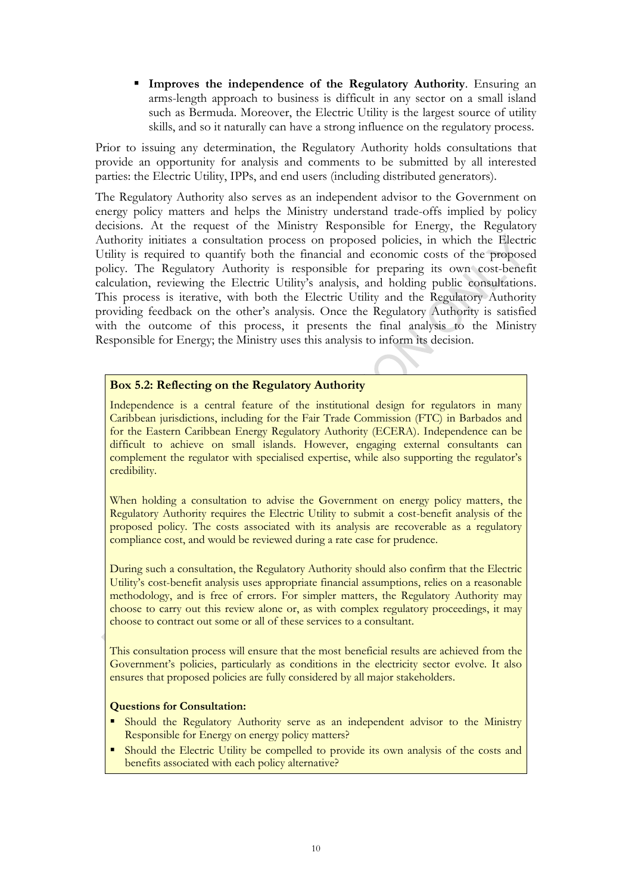**Improves the independence of the Regulatory Authority**. Ensuring an arms-length approach to business is difficult in any sector on a small island such as Bermuda. Moreover, the Electric Utility is the largest source of utility skills, and so it naturally can have a strong influence on the regulatory process.

Prior to issuing any determination, the Regulatory Authority holds consultations that provide an opportunity for analysis and comments to be submitted by all interested parties: the Electric Utility, IPPs, and end users (including distributed generators).

The Regulatory Authority also serves as an independent advisor to the Government on energy policy matters and helps the Ministry understand trade-offs implied by policy decisions. At the request of the Ministry Responsible for Energy, the Regulatory Authority initiates a consultation process on proposed policies, in which the Electric Utility is required to quantify both the financial and economic costs of the proposed policy. The Regulatory Authority is responsible for preparing its own cost-benefit calculation, reviewing the Electric Utility's analysis, and holding public consultations. This process is iterative, with both the Electric Utility and the Regulatory Authority providing feedback on the other's analysis. Once the Regulatory Authority is satisfied with the outcome of this process, it presents the final analysis to the Ministry Responsible for Energy; the Ministry uses this analysis to inform its decision.

#### <span id="page-15-0"></span>**Box 5.2: Reflecting on the Regulatory Authority**

Independence is a central feature of the institutional design for regulators in many Caribbean jurisdictions, including for the Fair Trade Commission (FTC) in Barbados and for the Eastern Caribbean Energy Regulatory Authority (ECERA). Independence can be difficult to achieve on small islands. However, engaging external consultants can complement the regulator with specialised expertise, while also supporting the regulator's credibility.

When holding a consultation to advise the Government on energy policy matters, the Regulatory Authority requires the Electric Utility to submit a cost-benefit analysis of the proposed policy. The costs associated with its analysis are recoverable as a regulatory compliance cost, and would be reviewed during a rate case for prudence.

During such a consultation, the Regulatory Authority should also confirm that the Electric Utility's cost-benefit analysis uses appropriate financial assumptions, relies on a reasonable methodology, and is free of errors. For simpler matters, the Regulatory Authority may choose to carry out this review alone or, as with complex regulatory proceedings, it may choose to contract out some or all of these services to a consultant.

This consultation process will ensure that the most beneficial results are achieved from the Government's policies, particularly as conditions in the electricity sector evolve. It also ensures that proposed policies are fully considered by all major stakeholders.

#### **Questions for Consultation:**

- **Should the Regulatory Authority serve as an independent advisor to the Ministry** Responsible for Energy on energy policy matters?
- Should the Electric Utility be compelled to provide its own analysis of the costs and benefits associated with each policy alternative?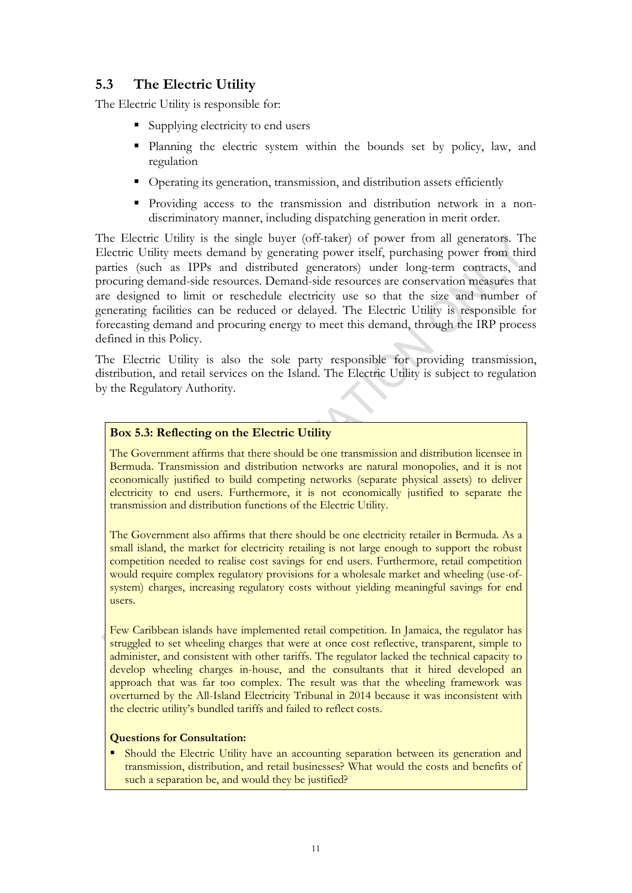## <span id="page-16-0"></span>**5.3 The Electric Utility**

The Electric Utility is responsible for:

- Supplying electricity to end users
- Planning the electric system within the bounds set by policy, law, and regulation
- Operating its generation, transmission, and distribution assets efficiently
- Providing access to the transmission and distribution network in a nondiscriminatory manner, including dispatching generation in merit order.

The Electric Utility is the single buyer (off-taker) of power from all generators. The Electric Utility meets demand by generating power itself, purchasing power from third parties (such as IPPs and distributed generators) under long-term contracts, and procuring demand-side resources. Demand-side resources are conservation measures that are designed to limit or reschedule electricity use so that the size and number of generating facilities can be reduced or delayed. The Electric Utility is responsible for forecasting demand and procuring energy to meet this demand, through the IRP process defined in this Policy.

The Electric Utility is also the sole party responsible for providing transmission, distribution, and retail services on the Island. The Electric Utility is subject to regulation by the Regulatory Authority.

#### <span id="page-16-1"></span>**Box 5.3: Reflecting on the Electric Utility**

The Government affirms that there should be one transmission and distribution licensee in Bermuda. Transmission and distribution networks are natural monopolies, and it is not economically justified to build competing networks (separate physical assets) to deliver electricity to end users. Furthermore, it is not economically justified to separate the transmission and distribution functions of the Electric Utility.

The Government also affirms that there should be one electricity retailer in Bermuda. As a small island, the market for electricity retailing is not large enough to support the robust competition needed to realise cost savings for end users. Furthermore, retail competition would require complex regulatory provisions for a wholesale market and wheeling (use-ofsystem) charges, increasing regulatory costs without yielding meaningful savings for end users.

Few Caribbean islands have implemented retail competition. In Jamaica, the regulator has struggled to set wheeling charges that were at once cost reflective, transparent, simple to administer, and consistent with other tariffs. The regulator lacked the technical capacity to develop wheeling charges in-house, and the consultants that it hired developed an approach that was far too complex. The result was that the wheeling framework was overturned by the All-Island Electricity Tribunal in 2014 because it was inconsistent with the electric utility's bundled tariffs and failed to reflect costs.

#### **Questions for Consultation:**

• Should the Electric Utility have an accounting separation between its generation and transmission, distribution, and retail businesses? What would the costs and benefits of such a separation be, and would they be justified?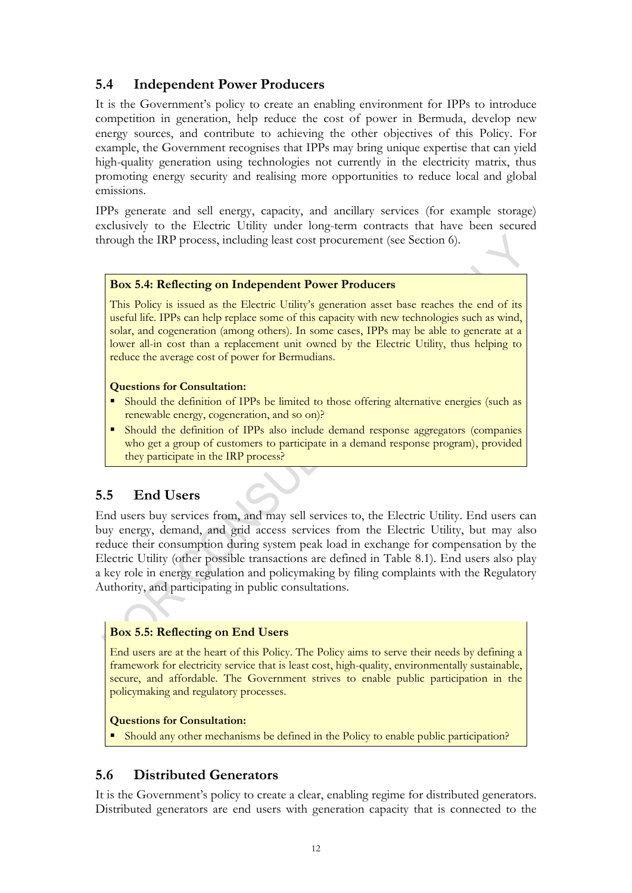## <span id="page-17-0"></span>**5.4 Independent Power Producers**

It is the Government's policy to create an enabling environment for IPPs to introduce competition in generation, help reduce the cost of power in Bermuda, develop new energy sources, and contribute to achieving the other objectives of this Policy. For example, the Government recognises that IPPs may bring unique expertise that can yield high-quality generation using technologies not currently in the electricity matrix, thus promoting energy security and realising more opportunities to reduce local and global emissions.

IPPs generate and sell energy, capacity, and ancillary services (for example storage) exclusively to the Electric Utility under long-term contracts that have been secured through the IRP process, including least cost procurement (see Section [6\)](#page-19-0).

#### <span id="page-17-3"></span>**Box 5.4: Reflecting on Independent Power Producers**

This Policy is issued as the Electric Utility's generation asset base reaches the end of its useful life. IPPs can help replace some of this capacity with new technologies such as wind, solar, and cogeneration (among others). In some cases, IPPs may be able to generate at a lower all-in cost than a replacement unit owned by the Electric Utility, thus helping to reduce the average cost of power for Bermudians.

#### **Questions for Consultation:**

- Should the definition of IPPs be limited to those offering alternative energies (such as renewable energy, cogeneration, and so on)?
- Should the definition of IPPs also include demand response aggregators (companies who get a group of customers to participate in a demand response program), provided they participate in the IRP process?

### <span id="page-17-1"></span>**5.5 End Users**

End users buy services from, and may sell services to, the Electric Utility. End users can buy energy, demand, and grid access services from the Electric Utility, but may also reduce their consumption during system peak load in exchange for compensation by the Electric Utility (other possible transactions are defined in [Table 8.1\)](#page-24-0). End users also play a key role in energy regulation and policymaking by filing complaints with the Regulatory Authority, and participating in public consultations.

#### <span id="page-17-4"></span>**Box 5.5: Reflecting on End Users**

End users are at the heart of this Policy. The Policy aims to serve their needs by defining a framework for electricity service that is least cost, high-quality, environmentally sustainable, secure, and affordable. The Government strives to enable public participation in the policymaking and regulatory processes.

#### **Questions for Consultation:**

Should any other mechanisms be defined in the Policy to enable public participation?

### <span id="page-17-2"></span>**5.6 Distributed Generators**

It is the Government's policy to create a clear, enabling regime for distributed generators. Distributed generators are end users with generation capacity that is connected to the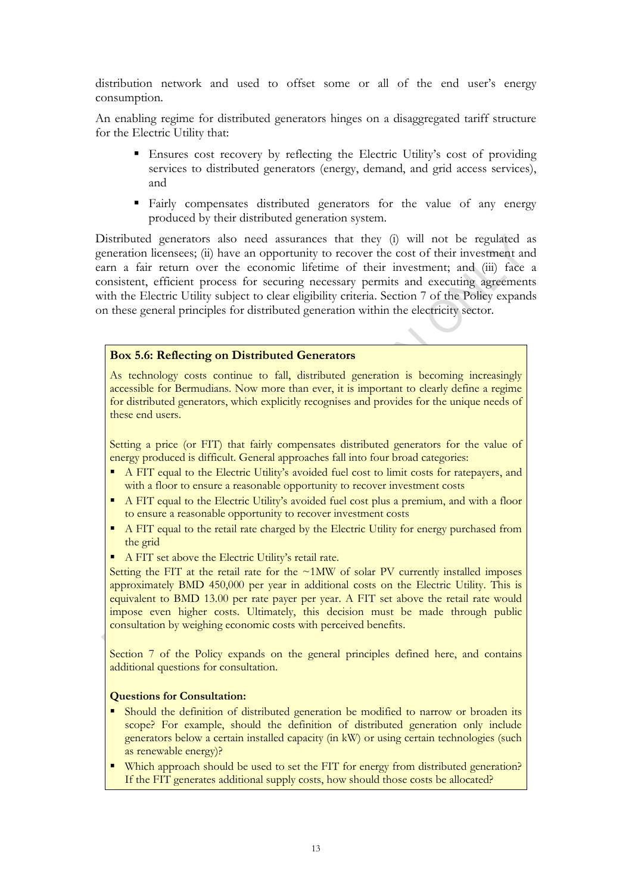distribution network and used to offset some or all of the end user's energy consumption.

An enabling regime for distributed generators hinges on a disaggregated tariff structure for the Electric Utility that:

- Ensures cost recovery by reflecting the Electric Utility's cost of providing services to distributed generators (energy, demand, and grid access services), and
- Fairly compensates distributed generators for the value of any energy produced by their distributed generation system.

Distributed generators also need assurances that they (i) will not be regulated as generation licensees; (ii) have an opportunity to recover the cost of their investment and earn a fair return over the economic lifetime of their investment; and (iii) face a consistent, efficient process for securing necessary permits and executing agreements with the Electric Utility subject to clear eligibility criteria. Section [7](#page-22-0) of the Policy expands on these general principles for distributed generation within the electricity sector.

#### <span id="page-18-0"></span>**Box 5.6: Reflecting on Distributed Generators**

As technology costs continue to fall, distributed generation is becoming increasingly accessible for Bermudians. Now more than ever, it is important to clearly define a regime for distributed generators, which explicitly recognises and provides for the unique needs of these end users.

Setting a price (or FIT) that fairly compensates distributed generators for the value of energy produced is difficult. General approaches fall into four broad categories:

- A FIT equal to the Electric Utility's avoided fuel cost to limit costs for ratepayers, and with a floor to ensure a reasonable opportunity to recover investment costs
- A FIT equal to the Electric Utility's avoided fuel cost plus a premium, and with a floor to ensure a reasonable opportunity to recover investment costs
- A FIT equal to the retail rate charged by the Electric Utility for energy purchased from the grid
- A FIT set above the Electric Utility's retail rate.

Setting the FIT at the retail rate for the  $~1\text{MW}$  of solar PV currently installed imposes approximately BMD 450,000 per year in additional costs on the Electric Utility. This is equivalent to BMD 13.00 per rate payer per year. A FIT set above the retail rate would impose even higher costs. Ultimately, this decision must be made through public consultation by weighing economic costs with perceived benefits.

Section [7](#page-22-0) of the Policy expands on the general principles defined here, and contains additional questions for consultation.

#### **Questions for Consultation:**

- Should the definition of distributed generation be modified to narrow or broaden its scope? For example, should the definition of distributed generation only include generators below a certain installed capacity (in kW) or using certain technologies (such as renewable energy)?
- Which approach should be used to set the FIT for energy from distributed generation? If the FIT generates additional supply costs, how should those costs be allocated?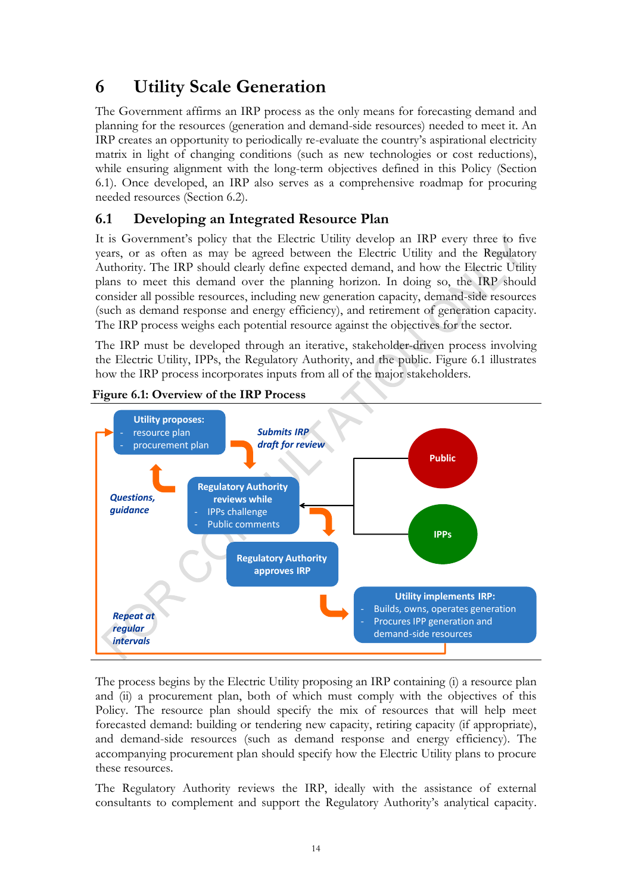## <span id="page-19-0"></span>**6 Utility Scale Generation**

The Government affirms an IRP process as the only means for forecasting demand and planning for the resources (generation and demand-side resources) needed to meet it. An IRP creates an opportunity to periodically re-evaluate the country's aspirational electricity matrix in light of changing conditions (such as new technologies or cost reductions), while ensuring alignment with the long-term objectives defined in this Policy (Section [6.1\)](#page-19-1). Once developed, an IRP also serves as a comprehensive roadmap for procuring needed resources (Section [6.2\)](#page-20-0).

## <span id="page-19-1"></span>**6.1 Developing an Integrated Resource Plan**

It is Government's policy that the Electric Utility develop an IRP every three to five years, or as often as may be agreed between the Electric Utility and the Regulatory Authority. The IRP should clearly define expected demand, and how the Electric Utility plans to meet this demand over the planning horizon. In doing so, the IRP should consider all possible resources, including new generation capacity, demand-side resources (such as demand response and energy efficiency), and retirement of generation capacity. The IRP process weighs each potential resource against the objectives for the sector.

The IRP must be developed through an iterative, stakeholder-driven process involving the Electric Utility, IPPs, the Regulatory Authority, and the public. [Figure 6.1](#page-19-2) illustrates how the IRP process incorporates inputs from all of the major stakeholders.



### <span id="page-19-2"></span>**Figure 6.1: Overview of the IRP Process**

The process begins by the Electric Utility proposing an IRP containing (i) a resource plan and (ii) a procurement plan, both of which must comply with the objectives of this Policy. The resource plan should specify the mix of resources that will help meet forecasted demand: building or tendering new capacity, retiring capacity (if appropriate), and demand-side resources (such as demand response and energy efficiency). The accompanying procurement plan should specify how the Electric Utility plans to procure these resources.

The Regulatory Authority reviews the IRP, ideally with the assistance of external consultants to complement and support the Regulatory Authority's analytical capacity.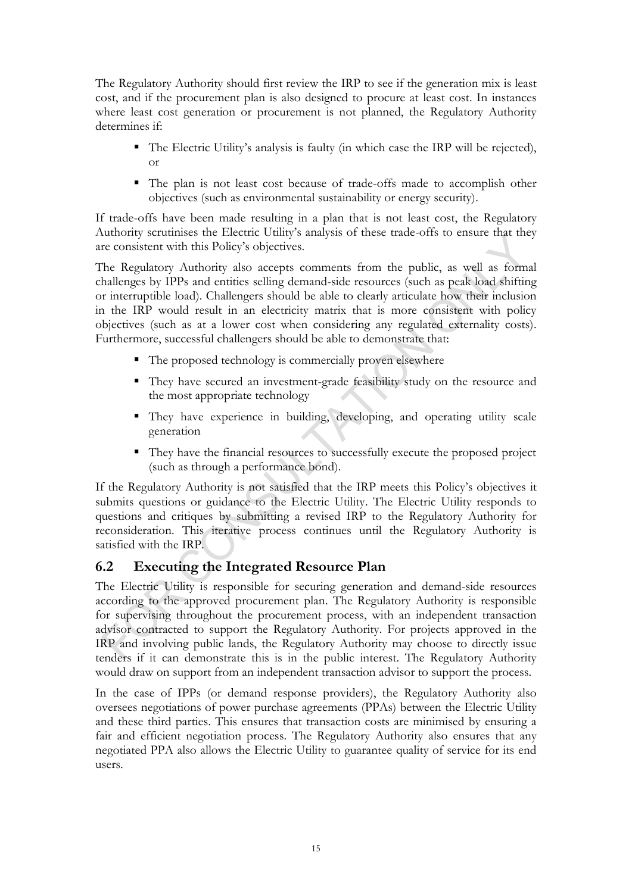The Regulatory Authority should first review the IRP to see if the generation mix is least cost, and if the procurement plan is also designed to procure at least cost. In instances where least cost generation or procurement is not planned, the Regulatory Authority determines if:

- The Electric Utility's analysis is faulty (in which case the IRP will be rejected), or
- The plan is not least cost because of trade-offs made to accomplish other objectives (such as environmental sustainability or energy security).

If trade-offs have been made resulting in a plan that is not least cost, the Regulatory Authority scrutinises the Electric Utility's analysis of these trade-offs to ensure that they are consistent with this Policy's objectives.

The Regulatory Authority also accepts comments from the public, as well as formal challenges by IPPs and entities selling demand-side resources (such as peak load shifting or interruptible load). Challengers should be able to clearly articulate how their inclusion in the IRP would result in an electricity matrix that is more consistent with policy objectives (such as at a lower cost when considering any regulated externality costs). Furthermore, successful challengers should be able to demonstrate that:

- The proposed technology is commercially proven elsewhere
- They have secured an investment-grade feasibility study on the resource and the most appropriate technology
- They have experience in building, developing, and operating utility scale generation
- They have the financial resources to successfully execute the proposed project (such as through a performance bond).

If the Regulatory Authority is not satisfied that the IRP meets this Policy's objectives it submits questions or guidance to the Electric Utility. The Electric Utility responds to questions and critiques by submitting a revised IRP to the Regulatory Authority for reconsideration. This iterative process continues until the Regulatory Authority is satisfied with the IRP.

### <span id="page-20-0"></span>**6.2 Executing the Integrated Resource Plan**

The Electric Utility is responsible for securing generation and demand-side resources according to the approved procurement plan. The Regulatory Authority is responsible for supervising throughout the procurement process, with an independent transaction advisor contracted to support the Regulatory Authority. For projects approved in the IRP and involving public lands, the Regulatory Authority may choose to directly issue tenders if it can demonstrate this is in the public interest. The Regulatory Authority would draw on support from an independent transaction advisor to support the process.

In the case of IPPs (or demand response providers), the Regulatory Authority also oversees negotiations of power purchase agreements (PPAs) between the Electric Utility and these third parties. This ensures that transaction costs are minimised by ensuring a fair and efficient negotiation process. The Regulatory Authority also ensures that any negotiated PPA also allows the Electric Utility to guarantee quality of service for its end users.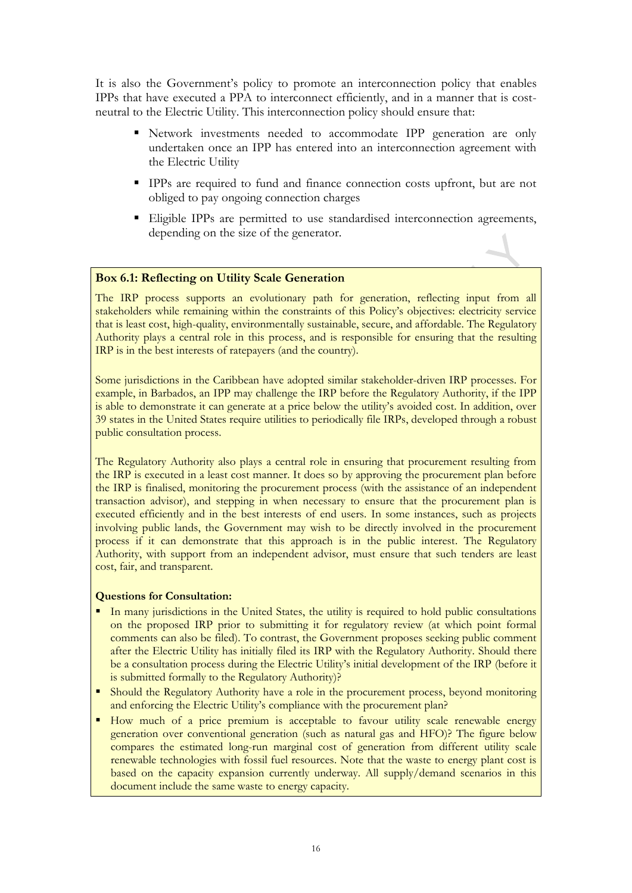It is also the Government's policy to promote an interconnection policy that enables IPPs that have executed a PPA to interconnect efficiently, and in a manner that is costneutral to the Electric Utility. This interconnection policy should ensure that:

- Network investments needed to accommodate IPP generation are only undertaken once an IPP has entered into an interconnection agreement with the Electric Utility
- **IPPs** are required to fund and finance connection costs upfront, but are not obliged to pay ongoing connection charges
- Eligible IPPs are permitted to use standardised interconnection agreements, depending on the size of the generator.

#### <span id="page-21-0"></span>**Box 6.1: Reflecting on Utility Scale Generation**

The IRP process supports an evolutionary path for generation, reflecting input from all stakeholders while remaining within the constraints of this Policy's objectives: electricity service that is least cost, high-quality, environmentally sustainable, secure, and affordable. The Regulatory Authority plays a central role in this process, and is responsible for ensuring that the resulting IRP is in the best interests of ratepayers (and the country).

Some jurisdictions in the Caribbean have adopted similar stakeholder-driven IRP processes. For example, in Barbados, an IPP may challenge the IRP before the Regulatory Authority, if the IPP is able to demonstrate it can generate at a price below the utility's avoided cost. In addition, over 39 states in the United States require utilities to periodically file IRPs, developed through a robust public consultation process.

The Regulatory Authority also plays a central role in ensuring that procurement resulting from the IRP is executed in a least cost manner. It does so by approving the procurement plan before the IRP is finalised, monitoring the procurement process (with the assistance of an independent transaction advisor), and stepping in when necessary to ensure that the procurement plan is executed efficiently and in the best interests of end users. In some instances, such as projects involving public lands, the Government may wish to be directly involved in the procurement process if it can demonstrate that this approach is in the public interest. The Regulatory Authority, with support from an independent advisor, must ensure that such tenders are least cost, fair, and transparent.

#### **Questions for Consultation:**

- In many jurisdictions in the United States, the utility is required to hold public consultations on the proposed IRP prior to submitting it for regulatory review (at which point formal comments can also be filed). To contrast, the Government proposes seeking public comment after the Electric Utility has initially filed its IRP with the Regulatory Authority. Should there be a consultation process during the Electric Utility's initial development of the IRP (before it is submitted formally to the Regulatory Authority)?
- Should the Regulatory Authority have a role in the procurement process, beyond monitoring and enforcing the Electric Utility's compliance with the procurement plan?
- How much of a price premium is acceptable to favour utility scale renewable energy generation over conventional generation (such as natural gas and HFO)? The figure below compares the estimated long-run marginal cost of generation from different utility scale renewable technologies with fossil fuel resources. Note that the waste to energy plant cost is based on the capacity expansion currently underway. All supply/demand scenarios in this document include the same waste to energy capacity.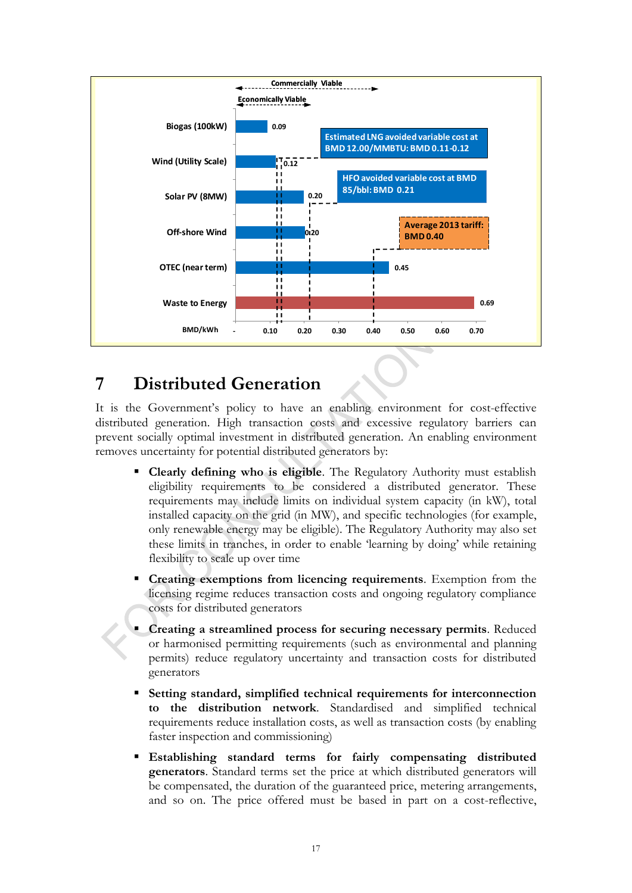

## <span id="page-22-0"></span>**7 Distributed Generation**

It is the Government's policy to have an enabling environment for cost-effective distributed generation. High transaction costs and excessive regulatory barriers can prevent socially optimal investment in distributed generation. An enabling environment removes uncertainty for potential distributed generators by:

- **Clearly defining who is eligible**. The Regulatory Authority must establish eligibility requirements to be considered a distributed generator. These requirements may include limits on individual system capacity (in kW), total installed capacity on the grid (in MW), and specific technologies (for example, only renewable energy may be eligible). The Regulatory Authority may also set these limits in tranches, in order to enable 'learning by doing' while retaining flexibility to scale up over time
- **Creating exemptions from licencing requirements**. Exemption from the licensing regime reduces transaction costs and ongoing regulatory compliance costs for distributed generators
- **Creating a streamlined process for securing necessary permits**. Reduced or harmonised permitting requirements (such as environmental and planning permits) reduce regulatory uncertainty and transaction costs for distributed generators
- **Setting standard, simplified technical requirements for interconnection to the distribution network**. Standardised and simplified technical requirements reduce installation costs, as well as transaction costs (by enabling faster inspection and commissioning)
- **Establishing standard terms for fairly compensating distributed generators**. Standard terms set the price at which distributed generators will be compensated, the duration of the guaranteed price, metering arrangements, and so on. The price offered must be based in part on a cost-reflective,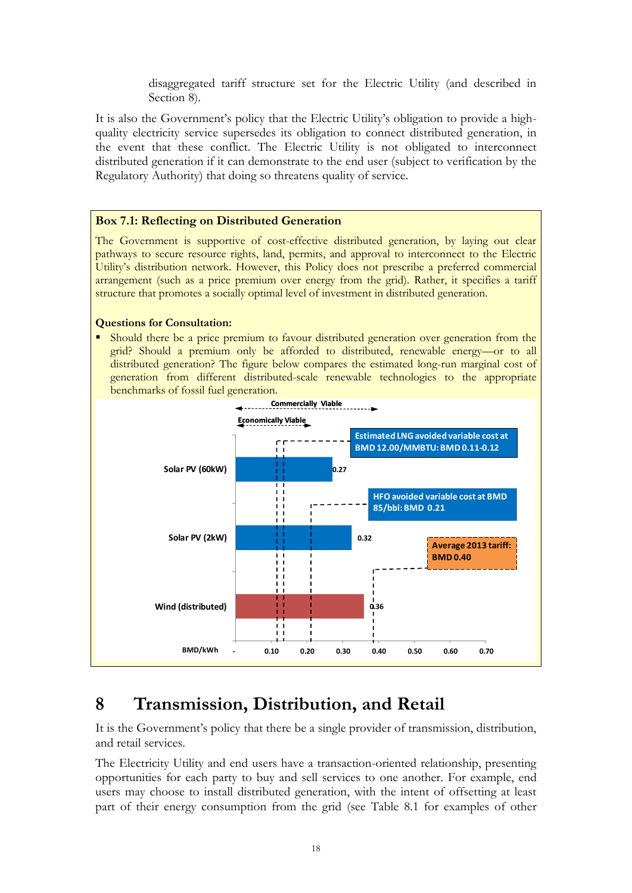disaggregated tariff structure set for the Electric Utility (and described in Section [8\)](#page-23-0).

It is also the Government's policy that the Electric Utility's obligation to provide a highquality electricity service supersedes its obligation to connect distributed generation, in the event that these conflict. The Electric Utility is not obligated to interconnect distributed generation if it can demonstrate to the end user (subject to verification by the Regulatory Authority) that doing so threatens quality of service.

#### <span id="page-23-1"></span>**Box 7.1: Reflecting on Distributed Generation**

The Government is supportive of cost-effective distributed generation, by laying out clear pathways to secure resource rights, land, permits, and approval to interconnect to the Electric Utility's distribution network. However, this Policy does not prescribe a preferred commercial arrangement (such as a price premium over energy from the grid). Rather, it specifies a tariff structure that promotes a socially optimal level of investment in distributed generation.

#### **Questions for Consultation:**

 Should there be a price premium to favour distributed generation over generation from the grid? Should a premium only be afforded to distributed, renewable energy—or to all distributed generation? The figure below compares the estimated long-run marginal cost of generation from different distributed-scale renewable technologies to the appropriate benchmarks of fossil fuel generation.



## <span id="page-23-0"></span>**8 Transmission, Distribution, and Retail**

It is the Government's policy that there be a single provider of transmission, distribution, and retail services.

The Electricity Utility and end users have a transaction-oriented relationship, presenting opportunities for each party to buy and sell services to one another. For example, end users may choose to install distributed generation, with the intent of offsetting at least part of their energy consumption from the grid (see [Table 8.1](#page-24-0) for examples of other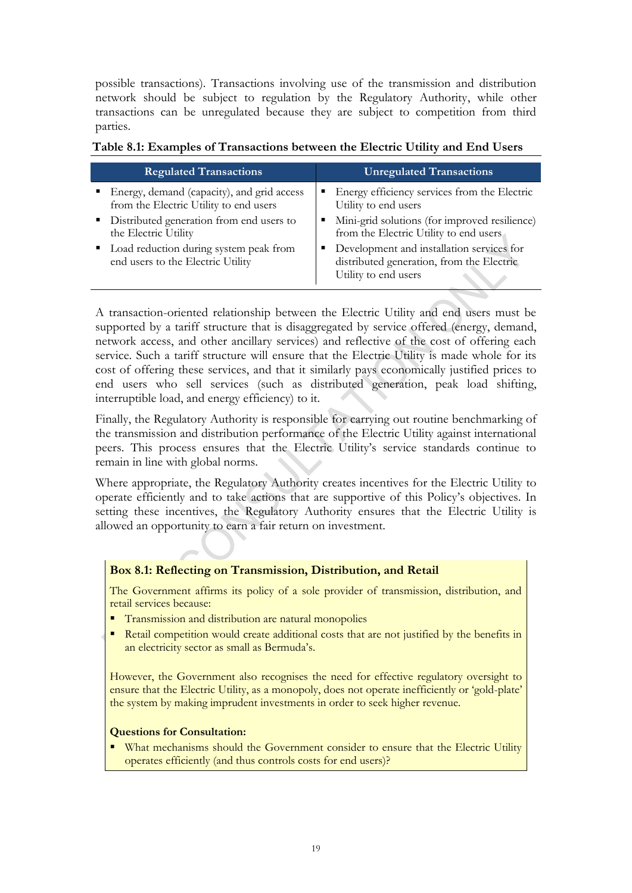possible transactions). Transactions involving use of the transmission and distribution network should be subject to regulation by the Regulatory Authority, while other transactions can be unregulated because they are subject to competition from third parties.

| <b>Regulated Transactions</b>                                               | <b>Unregulated Transactions</b>                                                                                |
|-----------------------------------------------------------------------------|----------------------------------------------------------------------------------------------------------------|
| • Energy, demand (capacity), and grid access                                | Energy efficiency services from the Electric                                                                   |
| from the Electric Utility to end users                                      | Utility to end users                                                                                           |
| Distributed generation from end users to                                    | Mini-grid solutions (for improved resilience)                                                                  |
| the Electric Utility                                                        | from the Electric Utility to end users                                                                         |
| Load reduction during system peak from<br>end users to the Electric Utility | Development and installation services for<br>distributed generation, from the Electric<br>Utility to end users |

<span id="page-24-0"></span>

| Table 8.1: Examples of Transactions between the Electric Utility and End Users |  |  |
|--------------------------------------------------------------------------------|--|--|
|                                                                                |  |  |

A transaction-oriented relationship between the Electric Utility and end users must be supported by a tariff structure that is disaggregated by service offered (energy, demand, network access, and other ancillary services) and reflective of the cost of offering each service. Such a tariff structure will ensure that the Electric Utility is made whole for its cost of offering these services, and that it similarly pays economically justified prices to end users who sell services (such as distributed generation, peak load shifting, interruptible load, and energy efficiency) to it.

Finally, the Regulatory Authority is responsible for carrying out routine benchmarking of the transmission and distribution performance of the Electric Utility against international peers. This process ensures that the Electric Utility's service standards continue to remain in line with global norms.

Where appropriate, the Regulatory Authority creates incentives for the Electric Utility to operate efficiently and to take actions that are supportive of this Policy's objectives. In setting these incentives, the Regulatory Authority ensures that the Electric Utility is allowed an opportunity to earn a fair return on investment.

#### <span id="page-24-1"></span>**Box 8.1: Reflecting on Transmission, Distribution, and Retail**

The Government affirms its policy of a sole provider of transmission, distribution, and retail services because:

- **Transmission and distribution are natural monopolies**
- Retail competition would create additional costs that are not justified by the benefits in an electricity sector as small as Bermuda's.

However, the Government also recognises the need for effective regulatory oversight to ensure that the Electric Utility, as a monopoly, does not operate inefficiently or 'gold-plate' the system by making imprudent investments in order to seek higher revenue.

#### **Questions for Consultation:**

What mechanisms should the Government consider to ensure that the Electric Utility operates efficiently (and thus controls costs for end users)?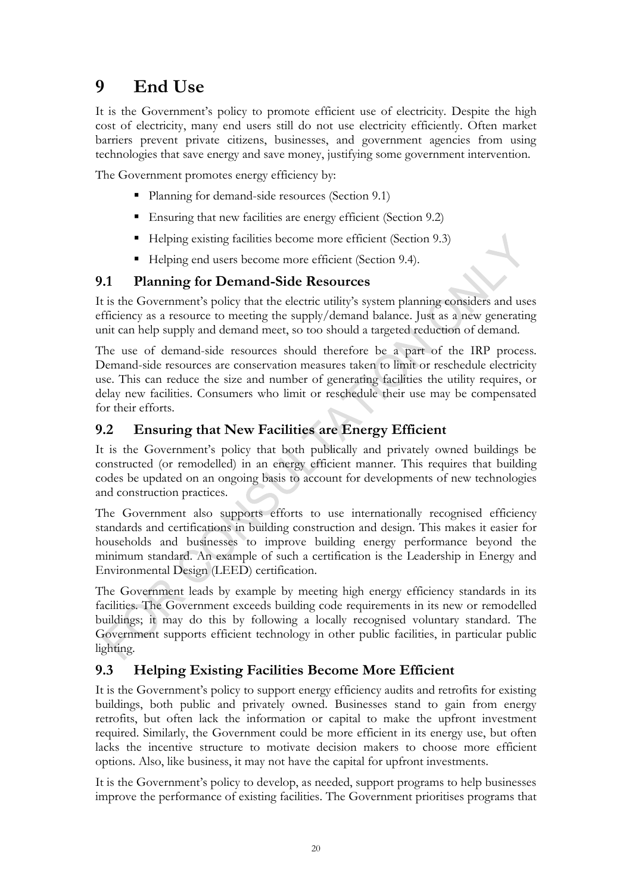## <span id="page-25-0"></span>**9 End Use**

It is the Government's policy to promote efficient use of electricity. Despite the high cost of electricity, many end users still do not use electricity efficiently. Often market barriers prevent private citizens, businesses, and government agencies from using technologies that save energy and save money, justifying some government intervention.

The Government promotes energy efficiency by:

- Planning for demand-side resources (Section [9.1\)](#page-25-1)
- Ensuring that new facilities are energy efficient (Section [9.2\)](#page-25-2)
- Helping existing facilities become more efficient (Section [9.3\)](#page-25-3)
- Helping end users become more efficient (Section [9.4\)](#page-26-0).

## <span id="page-25-1"></span>**9.1 Planning for Demand-Side Resources**

It is the Government's policy that the electric utility's system planning considers and uses efficiency as a resource to meeting the supply/demand balance. Just as a new generating unit can help supply and demand meet, so too should a targeted reduction of demand.

The use of demand-side resources should therefore be a part of the IRP process. Demand-side resources are conservation measures taken to limit or reschedule electricity use. This can reduce the size and number of generating facilities the utility requires, or delay new facilities. Consumers who limit or reschedule their use may be compensated for their efforts.

## <span id="page-25-2"></span>**9.2 Ensuring that New Facilities are Energy Efficient**

It is the Government's policy that both publically and privately owned buildings be constructed (or remodelled) in an energy efficient manner. This requires that building codes be updated on an ongoing basis to account for developments of new technologies and construction practices.

The Government also supports efforts to use internationally recognised efficiency standards and certifications in building construction and design. This makes it easier for households and businesses to improve building energy performance beyond the minimum standard. An example of such a certification is the Leadership in Energy and Environmental Design (LEED) certification.

The Government leads by example by meeting high energy efficiency standards in its facilities. The Government exceeds building code requirements in its new or remodelled buildings; it may do this by following a locally recognised voluntary standard. The Government supports efficient technology in other public facilities, in particular public lighting.

## <span id="page-25-3"></span>**9.3 Helping Existing Facilities Become More Efficient**

It is the Government's policy to support energy efficiency audits and retrofits for existing buildings, both public and privately owned. Businesses stand to gain from energy retrofits, but often lack the information or capital to make the upfront investment required. Similarly, the Government could be more efficient in its energy use, but often lacks the incentive structure to motivate decision makers to choose more efficient options. Also, like business, it may not have the capital for upfront investments.

It is the Government's policy to develop, as needed, support programs to help businesses improve the performance of existing facilities. The Government prioritises programs that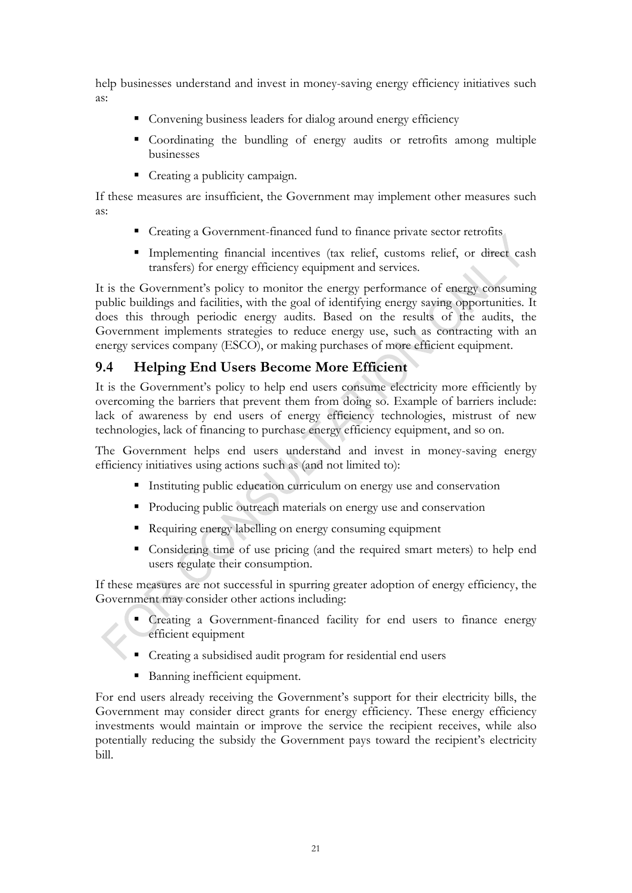help businesses understand and invest in money-saving energy efficiency initiatives such as:

- Convening business leaders for dialog around energy efficiency
- Coordinating the bundling of energy audits or retrofits among multiple businesses
- Creating a publicity campaign.

If these measures are insufficient, the Government may implement other measures such as:

- Creating a Government-financed fund to finance private sector retrofits
- Implementing financial incentives (tax relief, customs relief, or direct cash transfers) for energy efficiency equipment and services.

It is the Government's policy to monitor the energy performance of energy consuming public buildings and facilities, with the goal of identifying energy saving opportunities. It does this through periodic energy audits. Based on the results of the audits, the Government implements strategies to reduce energy use, such as contracting with an energy services company (ESCO), or making purchases of more efficient equipment.

## <span id="page-26-0"></span>**9.4 Helping End Users Become More Efficient**

It is the Government's policy to help end users consume electricity more efficiently by overcoming the barriers that prevent them from doing so. Example of barriers include: lack of awareness by end users of energy efficiency technologies, mistrust of new technologies, lack of financing to purchase energy efficiency equipment, and so on.

The Government helps end users understand and invest in money-saving energy efficiency initiatives using actions such as (and not limited to):

- Instituting public education curriculum on energy use and conservation
- **Producing public outreach materials on energy use and conservation**
- Requiring energy labelling on energy consuming equipment
- Considering time of use pricing (and the required smart meters) to help end users regulate their consumption.

If these measures are not successful in spurring greater adoption of energy efficiency, the Government may consider other actions including:

- Creating a Government-financed facility for end users to finance energy efficient equipment
- Creating a subsidised audit program for residential end users
	- Banning inefficient equipment.

For end users already receiving the Government's support for their electricity bills, the Government may consider direct grants for energy efficiency. These energy efficiency investments would maintain or improve the service the recipient receives, while also potentially reducing the subsidy the Government pays toward the recipient's electricity bill.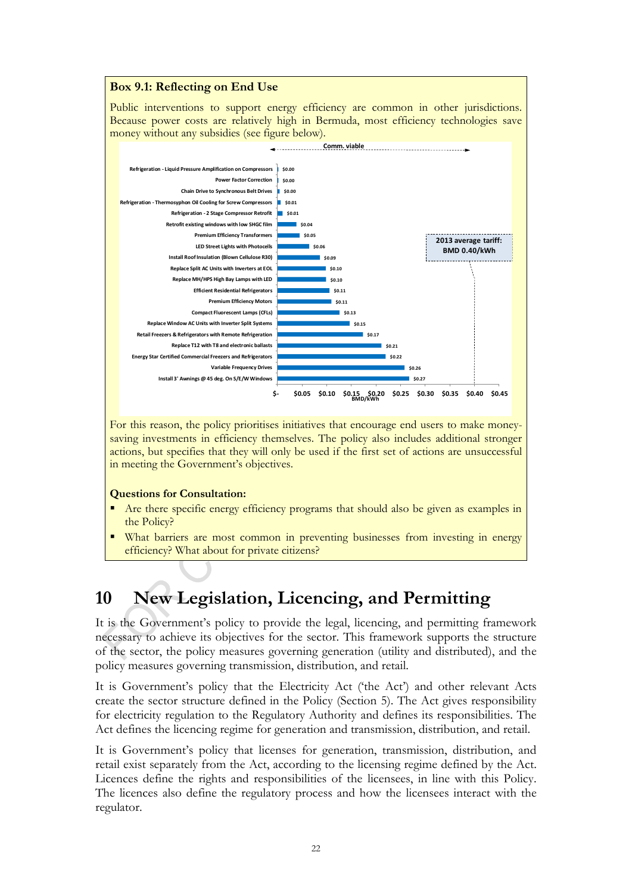#### <span id="page-27-1"></span>**Box 9.1: Reflecting on End Use**

Public interventions to support energy efficiency are common in other jurisdictions. Because power costs are relatively high in Bermuda, most efficiency technologies save money without any subsidies (see figure below).



For this reason, the policy prioritises initiatives that encourage end users to make moneysaving investments in efficiency themselves. The policy also includes additional stronger actions, but specifies that they will only be used if the first set of actions are unsuccessful in meeting the Government's objectives.

#### **Questions for Consultation:**

- Are there specific energy efficiency programs that should also be given as examples in the Policy?
- What barriers are most common in preventing businesses from investing in energy efficiency? What about for private citizens?

# <span id="page-27-0"></span>**10 New Legislation, Licencing, and Permitting**

It is the Government's policy to provide the legal, licencing, and permitting framework necessary to achieve its objectives for the sector. This framework supports the structure of the sector, the policy measures governing generation (utility and distributed), and the policy measures governing transmission, distribution, and retail.

It is Government's policy that the Electricity Act ('the Act') and other relevant Acts create the sector structure defined in the Policy (Section [5\)](#page-12-0). The Act gives responsibility for electricity regulation to the Regulatory Authority and defines its responsibilities. The Act defines the licencing regime for generation and transmission, distribution, and retail.

It is Government's policy that licenses for generation, transmission, distribution, and retail exist separately from the Act, according to the licensing regime defined by the Act. Licences define the rights and responsibilities of the licensees, in line with this Policy. The licences also define the regulatory process and how the licensees interact with the regulator.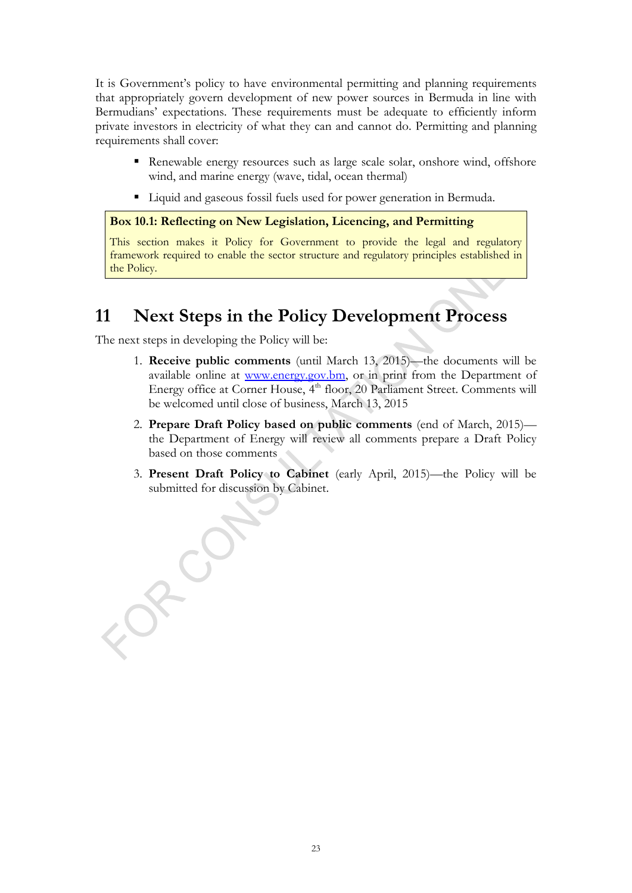It is Government's policy to have environmental permitting and planning requirements that appropriately govern development of new power sources in Bermuda in line with Bermudians' expectations. These requirements must be adequate to efficiently inform private investors in electricity of what they can and cannot do. Permitting and planning requirements shall cover:

- Renewable energy resources such as large scale solar, onshore wind, offshore wind, and marine energy (wave, tidal, ocean thermal)
- Liquid and gaseous fossil fuels used for power generation in Bermuda.

```
Box 10.1: Reflecting on New Legislation, Licencing, and Permitting
```
This section makes it Policy for Government to provide the legal and regulatory framework required to enable the sector structure and regulatory principles established in the Policy.

## <span id="page-28-0"></span>**11 Next Steps in the Policy Development Process**

The next steps in developing the Policy will be:

8200

- 1. **Receive public comments** (until March 13, 2015)—the documents will be available online at [www.energy.gov.bm,](http://www.energy.gov.bm/) or in print from the Department of Energy office at Corner House, 4<sup>th</sup> floor, 20 Parliament Street. Comments will be welcomed until close of business, March 13, 2015
- 2. **Prepare Draft Policy based on public comments** (end of March, 2015) the Department of Energy will review all comments prepare a Draft Policy based on those comments
- 3. **Present Draft Policy to Cabinet** (early April, 2015)—the Policy will be submitted for discussion by Cabinet.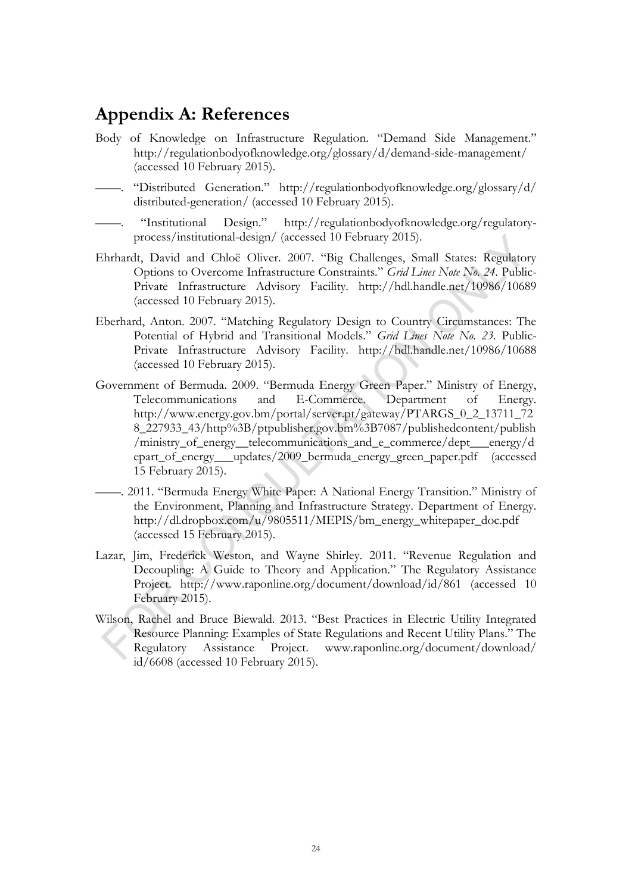## <span id="page-29-0"></span>**Appendix A: References**

- Body of Knowledge on Infrastructure Regulation. "Demand Side Management." http://regulationbodyofknowledge.org/glossary/d/demand-side-management/ (accessed 10 February 2015).
- "Distributed Generation." http://regulationbodyofknowledge.org/glossary/d/ distributed-generation/ (accessed 10 February 2015).
- "Institutional Design." http://regulationbodyofknowledge.org/regulatoryprocess/institutional-design/ (accessed 10 February 2015).
- Ehrhardt, David and Chloë Oliver. 2007. "Big Challenges, Small States: Regulatory Options to Overcome Infrastructure Constraints." *Grid Lines Note No. 24.* Public-Private Infrastructure Advisory Facility. http://hdl.handle.net/10986/10689 (accessed 10 February 2015).
- Eberhard, Anton. 2007. "Matching Regulatory Design to Country Circumstances: The Potential of Hybrid and Transitional Models." *Grid Lines Note No. 23.* Public-Private Infrastructure Advisory Facility. http://hdl.handle.net/10986/10688 (accessed 10 February 2015).
- Government of Bermuda. 2009. "Bermuda Energy Green Paper." Ministry of Energy, Telecommunications and E-Commerce. Department of Energy. http://www.energy.gov.bm/portal/server.pt/gateway/PTARGS\_0\_2\_13711\_72 8\_227933\_43/http%3B/ptpublisher.gov.bm%3B7087/publishedcontent/publish /ministry\_of\_energy\_\_telecommunications\_and\_e\_commerce/dept\_\_\_energy/d epart\_of\_energy\_\_\_updates/2009\_bermuda\_energy\_green\_paper.pdf (accessed 15 February 2015).
- ——. 2011. "Bermuda Energy White Paper: A National Energy Transition." Ministry of the Environment, Planning and Infrastructure Strategy. Department of Energy. http://dl.dropbox.com/u/9805511/MEPIS/bm\_energy\_whitepaper\_doc.pdf (accessed 15 February 2015).
- Lazar, Jim, Frederick Weston, and Wayne Shirley. 2011. "Revenue Regulation and Decoupling: A Guide to Theory and Application." The Regulatory Assistance Project. http://www.raponline.org/document/download/id/861 (accessed 10 February 2015).
- Wilson, Rachel and Bruce Biewald. 2013. "Best Practices in Electric Utility Integrated Resource Planning: Examples of State Regulations and Recent Utility Plans." The Regulatory Assistance Project. www.raponline.org/document/download/ id/6608 (accessed 10 February 2015).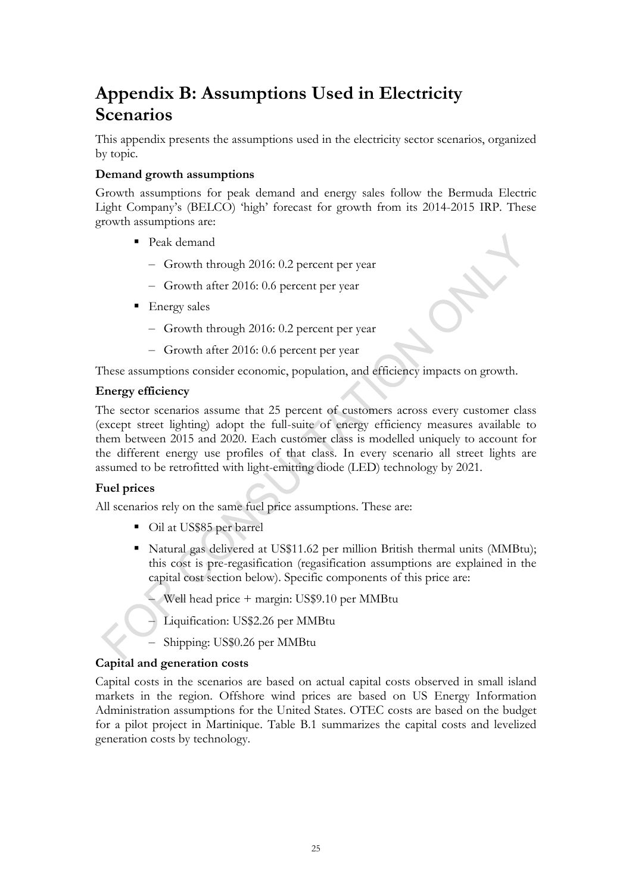## <span id="page-30-0"></span>**Appendix B: Assumptions Used in Electricity Scenarios**

This appendix presents the assumptions used in the electricity sector scenarios, organized by topic.

#### **Demand growth assumptions**

Growth assumptions for peak demand and energy sales follow the Bermuda Electric Light Company's (BELCO) 'high' forecast for growth from its 2014-2015 IRP. These growth assumptions are:

- Peak demand
	- Growth through 2016: 0.2 percent per year
	- Growth after 2016: 0.6 percent per year
- **Energy sales** 
	- Growth through 2016: 0.2 percent per year
	- Growth after 2016: 0.6 percent per year

These assumptions consider economic, population, and efficiency impacts on growth.

#### **Energy efficiency**

The sector scenarios assume that 25 percent of customers across every customer class (except street lighting) adopt the full-suite of energy efficiency measures available to them between 2015 and 2020. Each customer class is modelled uniquely to account for the different energy use profiles of that class. In every scenario all street lights are assumed to be retrofitted with light-emitting diode (LED) technology by 2021.

#### **Fuel prices**

All scenarios rely on the same fuel price assumptions. These are:

- Oil at US\$85 per barrel
- Natural gas delivered at US\$11.62 per million British thermal units (MMBtu); this cost is pre-regasification (regasification assumptions are explained in the capital cost section below). Specific components of this price are:
	- Well head price + margin: US\$9.10 per MMBtu
	- Liquification: US\$2.26 per MMBtu
	- Shipping: US\$0.26 per MMBtu

#### **Capital and generation costs**

Capital costs in the scenarios are based on actual capital costs observed in small island markets in the region. Offshore wind prices are based on US Energy Information Administration assumptions for the United States. OTEC costs are based on the budget for a pilot project in Martinique. [Table B.1](#page-31-0) summarizes the capital costs and levelized generation costs by technology.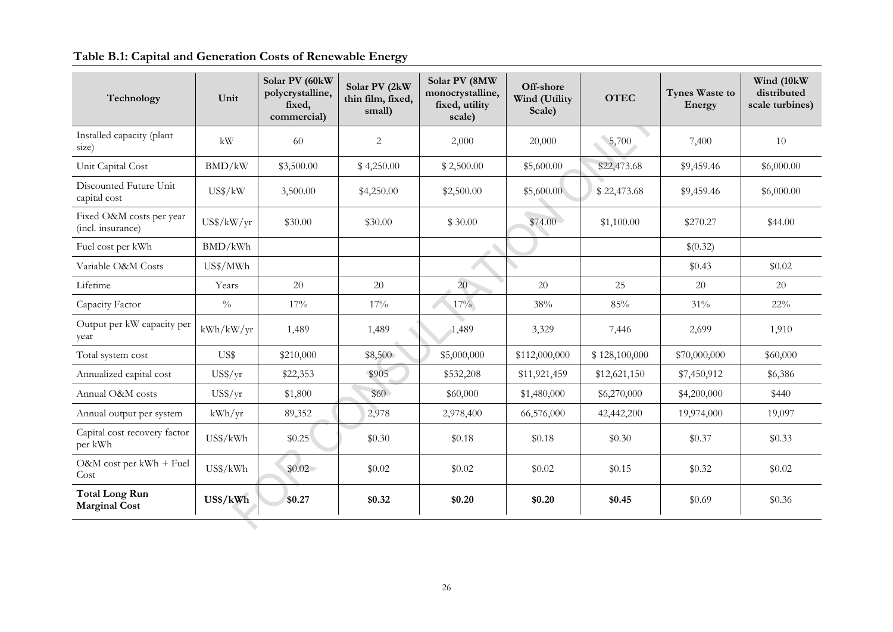## **Table B.1: Capital and Generation Costs of Renewable Energy**

<span id="page-31-0"></span>

| Technology                                    | Unit                | Solar PV (60kW<br>polycrystalline,<br>fixed,<br>commercial) | Solar PV (2kW<br>thin film, fixed,<br>small) | Solar PV (8MW<br>monocrystalline,<br>fixed, utility<br>scale) | Off-shore<br>Wind (Utility<br>Scale) | <b>OTEC</b>   | Tynes Waste to<br>Energy | Wind (10kW)<br>distributed<br>scale turbines) |
|-----------------------------------------------|---------------------|-------------------------------------------------------------|----------------------------------------------|---------------------------------------------------------------|--------------------------------------|---------------|--------------------------|-----------------------------------------------|
| Installed capacity (plant<br>size)            | kW                  | 60                                                          | $\overline{c}$                               | 2,000                                                         | 20,000                               | 5,700         | 7,400                    | 10                                            |
| Unit Capital Cost                             | BMD/kW              | \$3,500.00                                                  | \$4,250.00                                   | \$2,500.00                                                    | \$5,600.00                           | \$22,473.68   | \$9,459.46               | \$6,000.00                                    |
| Discounted Future Unit<br>capital cost        | US\$/kW             | 3,500.00                                                    | \$4,250.00                                   | \$2,500.00                                                    | \$5,600.00                           | \$22,473.68   | \$9,459.46               | \$6,000.00                                    |
| Fixed O&M costs per year<br>(incl. insurance) | $US\frac{8}{kW/yr}$ | \$30.00                                                     | \$30.00                                      | \$30.00                                                       | \$74.00                              | \$1,100.00    | \$270.27                 | \$44.00                                       |
| Fuel cost per kWh                             | BMD/kWh             |                                                             |                                              |                                                               |                                      |               | \$(0.32)                 |                                               |
| Variable O&M Costs                            | US\$/MWh            |                                                             |                                              |                                                               |                                      |               | \$0.43                   | \$0.02                                        |
| Lifetime                                      | Years               | 20                                                          | 20                                           | 20                                                            | 20                                   | 25            | 20                       | 20                                            |
| Capacity Factor                               | $\sqrt[0]{\!0}$     | 17%                                                         | 17%                                          | 17%                                                           | 38%                                  | 85%           | 31%                      | 22%                                           |
| Output per kW capacity per<br>year            | kWh/kW/yr           | 1,489                                                       | 1,489                                        | 1,489                                                         | 3,329                                | 7,446         | 2,699                    | 1,910                                         |
| Total system cost                             | US\$                | \$210,000                                                   | \$8,500                                      | \$5,000,000                                                   | \$112,000,000                        | \$128,100,000 | \$70,000,000             | \$60,000                                      |
| Annualized capital cost                       | $US\frac{g}{yr}$    | \$22,353                                                    | \$905                                        | \$532,208                                                     | \$11,921,459                         | \$12,621,150  | \$7,450,912              | \$6,386                                       |
| Annual O&M costs                              | $US\frac{f}{f}$ /yr | \$1,800                                                     | \$60                                         | \$60,000                                                      | \$1,480,000                          | \$6,270,000   | \$4,200,000              | \$440                                         |
| Annual output per system                      | kWh/yr              | 89,352                                                      | 2,978                                        | 2,978,400                                                     | 66,576,000                           | 42,442,200    | 19,974,000               | 19,097                                        |
| Capital cost recovery factor<br>per kWh       | US\$/kWh            | \$0.25                                                      | \$0.30                                       | \$0.18                                                        | \$0.18                               | \$0.30        | \$0.37                   | \$0.33                                        |
| O&M cost per kWh + Fuel<br>Cost               | US\$/kWh            | \$0.02\$                                                    | \$0.02                                       | \$0.02                                                        | \$0.02                               | \$0.15        | \$0.32                   | \$0.02                                        |
| <b>Total Long Run</b><br><b>Marginal Cost</b> | US\$/kWh            | \$0.27                                                      | \$0.32                                       | \$0.20                                                        | \$0.20                               | \$0.45        | \$0.69                   | \$0.36                                        |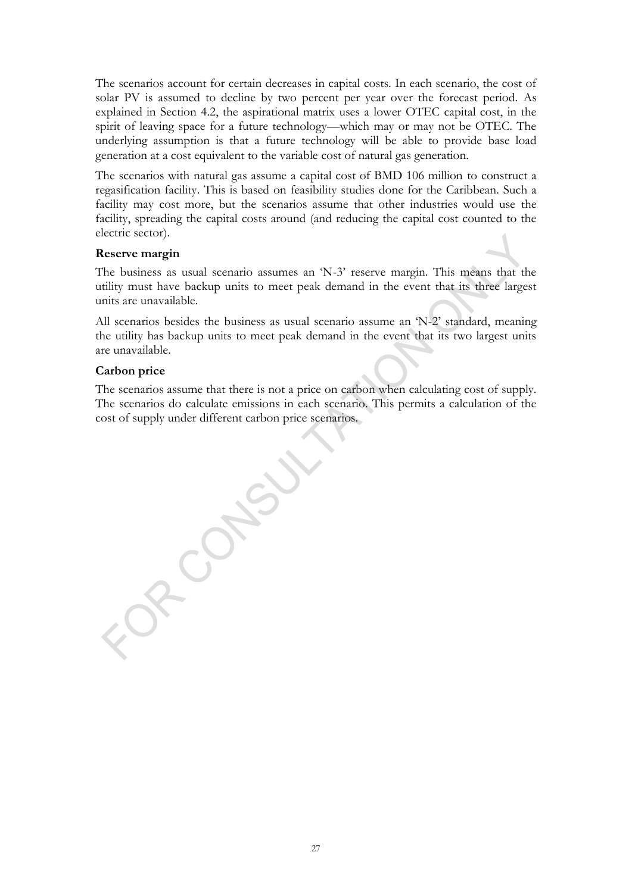The scenarios account for certain decreases in capital costs. In each scenario, the cost of solar PV is assumed to decline by two percent per year over the forecast period. As explained in Section [4.2,](#page-9-0) the aspirational matrix uses a lower OTEC capital cost, in the spirit of leaving space for a future technology—which may or may not be OTEC. The underlying assumption is that a future technology will be able to provide base load generation at a cost equivalent to the variable cost of natural gas generation.

The scenarios with natural gas assume a capital cost of BMD 106 million to construct a regasification facility. This is based on feasibility studies done for the Caribbean. Such a facility may cost more, but the scenarios assume that other industries would use the facility, spreading the capital costs around (and reducing the capital cost counted to the electric sector).

#### **Reserve margin**

The business as usual scenario assumes an 'N-3' reserve margin. This means that the utility must have backup units to meet peak demand in the event that its three largest units are unavailable.

All scenarios besides the business as usual scenario assume an 'N-2' standard, meaning the utility has backup units to meet peak demand in the event that its two largest units are unavailable.

#### **Carbon price**

The scenarios assume that there is not a price on carbon when calculating cost of supply. The scenarios do calculate emissions in each scenario. This permits a calculation of the cost of supply under different carbon price scenarios.